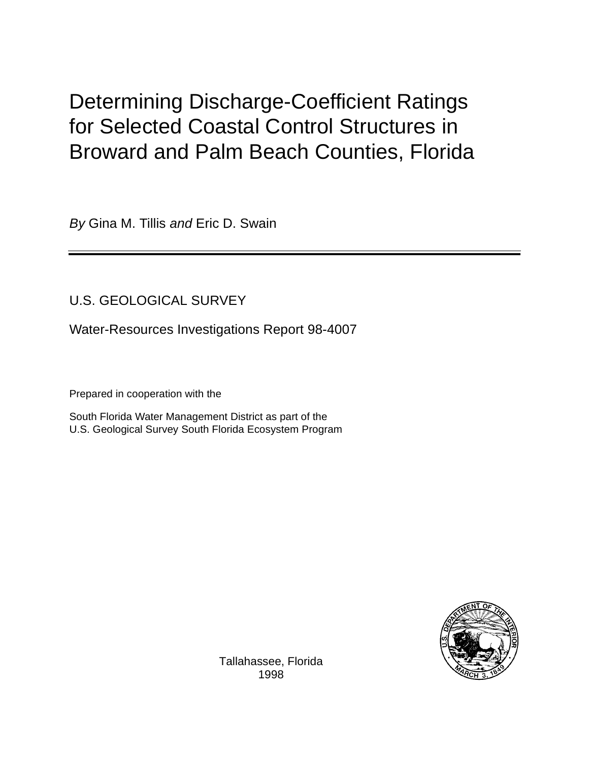# Determining Discharge-Coefficient Ratings for Selected Coastal Control Structures in Broward and Palm Beach Counties, Florida

By Gina M. Tillis and Eric D. Swain

## U.S. GEOLOGICAL SURVEY

Water-Resources Investigations Report 98-4007

Prepared in cooperation with the

South Florida Water Management District as part of the U.S. Geological Survey South Florida Ecosystem Program



Tallahassee, Florida 1998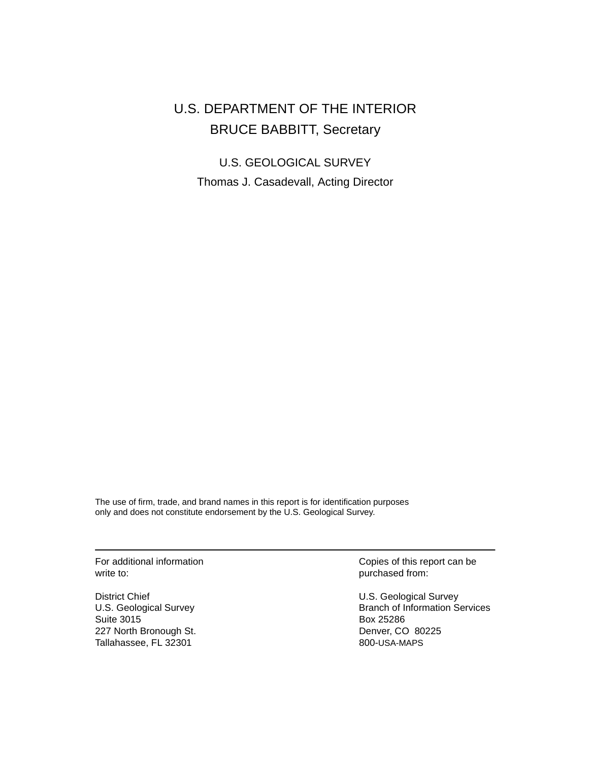## U.S. DEPARTMENT OF THE INTERIOR BRUCE BABBITT, Secretary

U.S. GEOLOGICAL SURVEY Thomas J. Casadevall, Acting Director

The use of firm, trade, and brand names in this report is for identification purposes only and does not constitute endorsement by the U.S. Geological Survey.

write to: purchased from:

Suite 3015 Box 25286 227 North Bronough St. **Denver, CO 80225** Tallahassee, FL 32301 800-USA-MAPS

For additional information **For additional information** Copies of this report can be

District Chief U.S. Geological Survey U.S. Geological Survey **Branch of Information Services**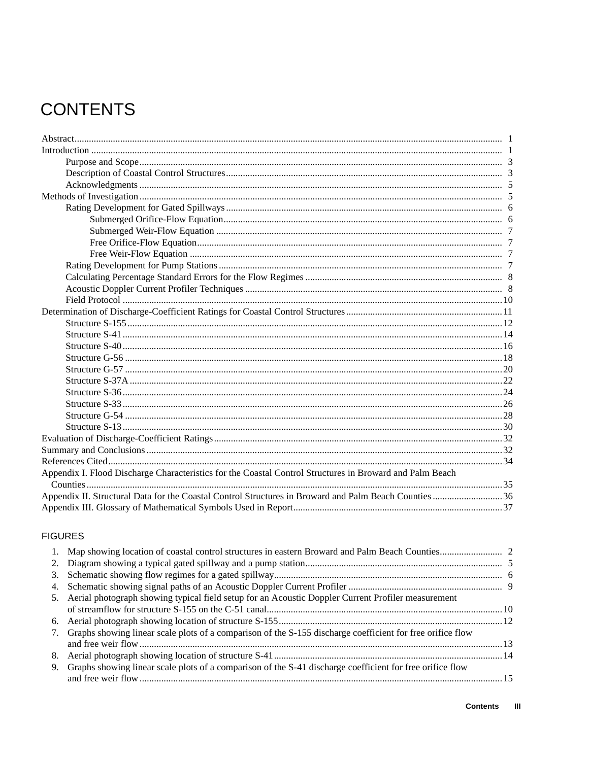# **CONTENTS**

| Appendix I. Flood Discharge Characteristics for the Coastal Control Structures in Broward and Palm Beach |  |
|----------------------------------------------------------------------------------------------------------|--|
|                                                                                                          |  |
| Appendix II. Structural Data for the Coastal Control Structures in Broward and Palm Beach Counties36     |  |
|                                                                                                          |  |

## **FIGURES**

| 5. Aerial photograph showing typical field setup for an Acoustic Doppler Current Profiler measurement           |  |
|-----------------------------------------------------------------------------------------------------------------|--|
|                                                                                                                 |  |
|                                                                                                                 |  |
| 7. Graphs showing linear scale plots of a comparison of the S-155 discharge coefficient for free orifice flow   |  |
|                                                                                                                 |  |
|                                                                                                                 |  |
| Graphs showing linear scale plots of a comparison of the S-41 discharge coefficient for free orifice flow<br>9. |  |
|                                                                                                                 |  |
|                                                                                                                 |  |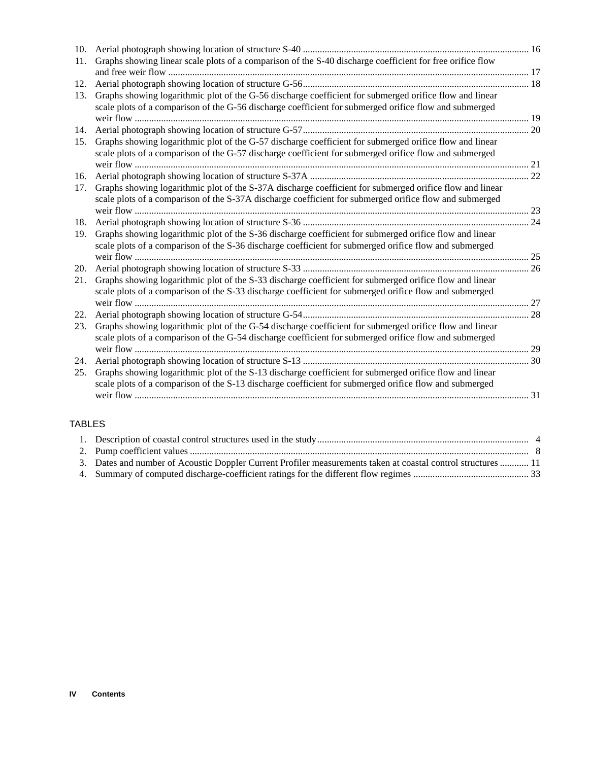| 10. |                                                                                                                                                                                                                     |  |
|-----|---------------------------------------------------------------------------------------------------------------------------------------------------------------------------------------------------------------------|--|
| 11. | Graphs showing linear scale plots of a comparison of the S-40 discharge coefficient for free orifice flow                                                                                                           |  |
| 12. |                                                                                                                                                                                                                     |  |
| 13. | Graphs showing logarithmic plot of the G-56 discharge coefficient for submerged orifice flow and linear<br>scale plots of a comparison of the G-56 discharge coefficient for submerged orifice flow and submerged   |  |
|     |                                                                                                                                                                                                                     |  |
| 14. |                                                                                                                                                                                                                     |  |
| 15. | Graphs showing logarithmic plot of the G-57 discharge coefficient for submerged orifice flow and linear<br>scale plots of a comparison of the G-57 discharge coefficient for submerged orifice flow and submerged   |  |
| 16. |                                                                                                                                                                                                                     |  |
| 17. | Graphs showing logarithmic plot of the S-37A discharge coefficient for submerged orifice flow and linear<br>scale plots of a comparison of the S-37A discharge coefficient for submerged orifice flow and submerged |  |
| 18. |                                                                                                                                                                                                                     |  |
| 19. | Graphs showing logarithmic plot of the S-36 discharge coefficient for submerged orifice flow and linear<br>scale plots of a comparison of the S-36 discharge coefficient for submerged orifice flow and submerged   |  |
| 20. |                                                                                                                                                                                                                     |  |
| 21. | Graphs showing logarithmic plot of the S-33 discharge coefficient for submerged orifice flow and linear<br>scale plots of a comparison of the S-33 discharge coefficient for submerged orifice flow and submerged   |  |
| 22. |                                                                                                                                                                                                                     |  |
| 23. | Graphs showing logarithmic plot of the G-54 discharge coefficient for submerged orifice flow and linear<br>scale plots of a comparison of the G-54 discharge coefficient for submerged orifice flow and submerged   |  |
|     |                                                                                                                                                                                                                     |  |
| 25. | Graphs showing logarithmic plot of the S-13 discharge coefficient for submerged orifice flow and linear<br>scale plots of a comparison of the S-13 discharge coefficient for submerged orifice flow and submerged   |  |

## TABLES

| 3. Dates and number of Acoustic Doppler Current Profiler measurements taken at coastal control structures  11 |  |
|---------------------------------------------------------------------------------------------------------------|--|
|                                                                                                               |  |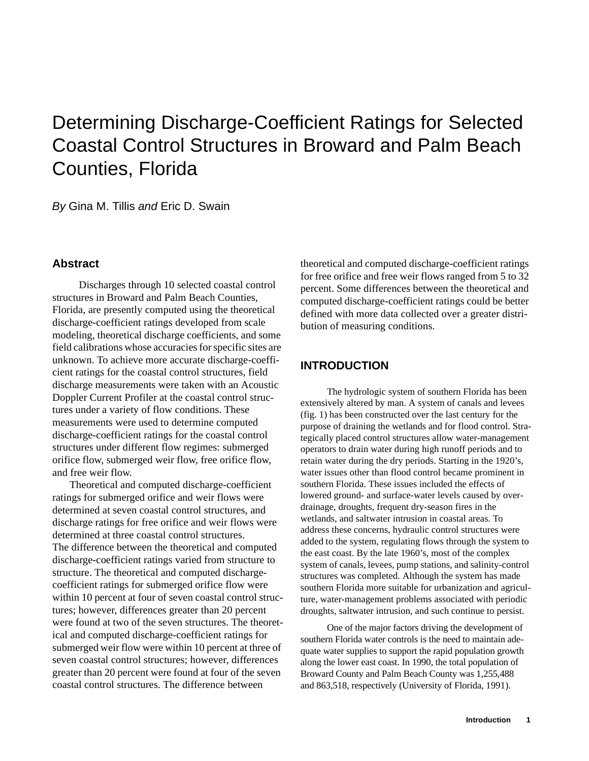## Determining Discharge-Coefficient Ratings for Selected Coastal Control Structures in Broward and Palm Beach Counties, Florida

By Gina M. Tillis and Eric D. Swain

## **Abstract**

Discharges through 10 selected coastal control structures in Broward and Palm Beach Counties, Florida, are presently computed using the theoretical discharge-coefficient ratings developed from scale modeling, theoretical discharge coefficients, and some field calibrations whose accuracies for specific sites are unknown. To achieve more accurate discharge-coefficient ratings for the coastal control structures, field discharge measurements were taken with an Acoustic Doppler Current Profiler at the coastal control structures under a variety of flow conditions. These measurements were used to determine computed discharge-coefficient ratings for the coastal control structures under different flow regimes: submerged orifice flow, submerged weir flow, free orifice flow, and free weir flow.

Theoretical and computed discharge-coefficient ratings for submerged orifice and weir flows were determined at seven coastal control structures, and discharge ratings for free orifice and weir flows were determined at three coastal control structures. The difference between the theoretical and computed discharge-coefficient ratings varied from structure to structure. The theoretical and computed dischargecoefficient ratings for submerged orifice flow were within 10 percent at four of seven coastal control structures; however, differences greater than 20 percent were found at two of the seven structures. The theoretical and computed discharge-coefficient ratings for submerged weir flow were within 10 percent at three of seven coastal control structures; however, differences greater than 20 percent were found at four of the seven coastal control structures. The difference between

theoretical and computed discharge-coefficient ratings for free orifice and free weir flows ranged from 5 to 32 percent. Some differences between the theoretical and computed discharge-coefficient ratings could be better defined with more data collected over a greater distribution of measuring conditions.

## **INTRODUCTION**

The hydrologic system of southern Florida has been extensively altered by man. A system of canals and levees (fig. 1) has been constructed over the last century for the purpose of draining the wetlands and for flood control. Strategically placed control structures allow water-management operators to drain water during high runoff periods and to retain water during the dry periods. Starting in the 1920's, water issues other than flood control became prominent in southern Florida. These issues included the effects of lowered ground- and surface-water levels caused by overdrainage, droughts, frequent dry-season fires in the wetlands, and saltwater intrusion in coastal areas. To address these concerns, hydraulic control structures were added to the system, regulating flows through the system to the east coast. By the late 1960's, most of the complex system of canals, levees, pump stations, and salinity-control structures was completed. Although the system has made southern Florida more suitable for urbanization and agriculture, water-management problems associated with periodic droughts, saltwater intrusion, and such continue to persist.

One of the major factors driving the development of southern Florida water controls is the need to maintain adequate water supplies to support the rapid population growth along the lower east coast. In 1990, the total population of Broward County and Palm Beach County was 1,255,488 and 863,518, respectively (University of Florida, 1991).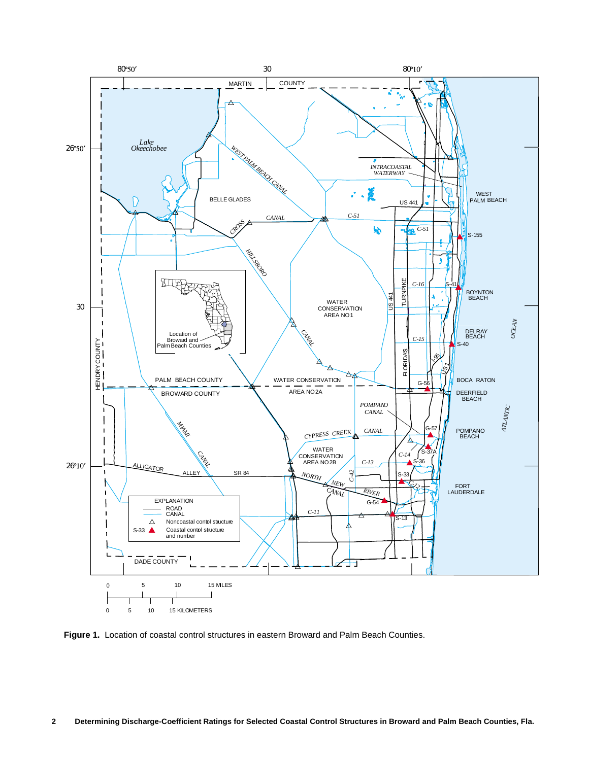

**Figure 1.** Location of coastal control structures in eastern Broward and Palm Beach Counties.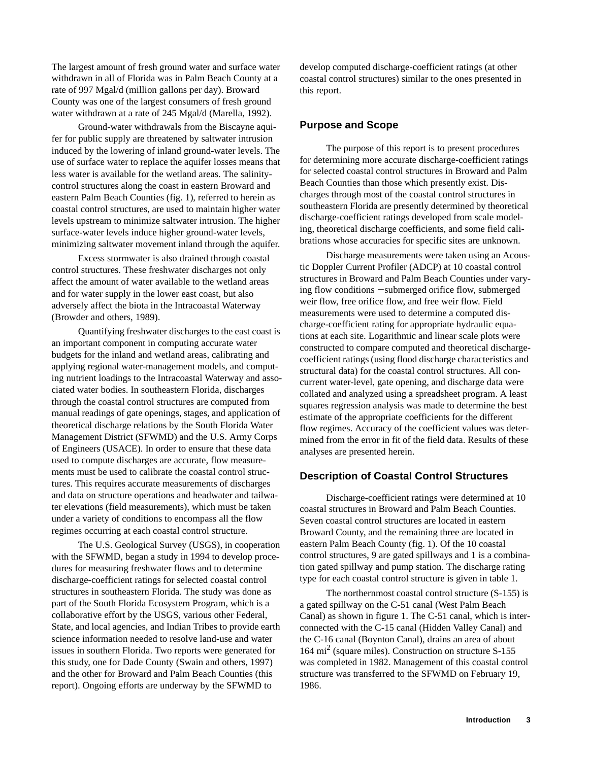The largest amount of fresh ground water and surface water withdrawn in all of Florida was in Palm Beach County at a rate of 997 Mgal/d (million gallons per day). Broward County was one of the largest consumers of fresh ground water withdrawn at a rate of 245 Mgal/d (Marella, 1992).

Ground-water withdrawals from the Biscayne aquifer for public supply are threatened by saltwater intrusion induced by the lowering of inland ground-water levels. The use of surface water to replace the aquifer losses means that less water is available for the wetland areas. The salinitycontrol structures along the coast in eastern Broward and eastern Palm Beach Counties (fig. 1), referred to herein as coastal control structures, are used to maintain higher water levels upstream to minimize saltwater intrusion. The higher surface-water levels induce higher ground-water levels, minimizing saltwater movement inland through the aquifer.

Excess stormwater is also drained through coastal control structures. These freshwater discharges not only affect the amount of water available to the wetland areas and for water supply in the lower east coast, but also adversely affect the biota in the Intracoastal Waterway (Browder and others, 1989).

Quantifying freshwater discharges to the east coast is an important component in computing accurate water budgets for the inland and wetland areas, calibrating and applying regional water-management models, and computing nutrient loadings to the Intracoastal Waterway and associated water bodies. In southeastern Florida, discharges through the coastal control structures are computed from manual readings of gate openings, stages, and application of theoretical discharge relations by the South Florida Water Management District (SFWMD) and the U.S. Army Corps of Engineers (USACE). In order to ensure that these data used to compute discharges are accurate, flow measurements must be used to calibrate the coastal control structures. This requires accurate measurements of discharges and data on structure operations and headwater and tailwater elevations (field measurements), which must be taken under a variety of conditions to encompass all the flow regimes occurring at each coastal control structure.

The U.S. Geological Survey (USGS), in cooperation with the SFWMD, began a study in 1994 to develop procedures for measuring freshwater flows and to determine discharge-coefficient ratings for selected coastal control structures in southeastern Florida. The study was done as part of the South Florida Ecosystem Program, which is a collaborative effort by the USGS, various other Federal, State, and local agencies, and Indian Tribes to provide earth science information needed to resolve land-use and water issues in southern Florida. Two reports were generated for this study, one for Dade County (Swain and others, 1997) and the other for Broward and Palm Beach Counties (this report). Ongoing efforts are underway by the SFWMD to

develop computed discharge-coefficient ratings (at other coastal control structures) similar to the ones presented in this report.

#### **Purpose and Scope**

The purpose of this report is to present procedures for determining more accurate discharge-coefficient ratings for selected coastal control structures in Broward and Palm Beach Counties than those which presently exist. Discharges through most of the coastal control structures in southeastern Florida are presently determined by theoretical discharge-coefficient ratings developed from scale modeling, theoretical discharge coefficients, and some field calibrations whose accuracies for specific sites are unknown.

Discharge measurements were taken using an Acoustic Doppler Current Profiler (ADCP) at 10 coastal control structures in Broward and Palm Beach Counties under varying flow conditions − submerged orifice flow, submerged weir flow, free orifice flow, and free weir flow. Field measurements were used to determine a computed discharge-coefficient rating for appropriate hydraulic equations at each site. Logarithmic and linear scale plots were constructed to compare computed and theoretical dischargecoefficient ratings (using flood discharge characteristics and structural data) for the coastal control structures. All concurrent water-level, gate opening, and discharge data were collated and analyzed using a spreadsheet program. A least squares regression analysis was made to determine the best estimate of the appropriate coefficients for the different flow regimes. Accuracy of the coefficient values was determined from the error in fit of the field data. Results of these analyses are presented herein.

#### **Description of Coastal Control Structures**

Discharge-coefficient ratings were determined at 10 coastal structures in Broward and Palm Beach Counties. Seven coastal control structures are located in eastern Broward County, and the remaining three are located in eastern Palm Beach County (fig. 1). Of the 10 coastal control structures, 9 are gated spillways and 1 is a combination gated spillway and pump station. The discharge rating type for each coastal control structure is given in table 1.

The northernmost coastal control structure (S-155) is a gated spillway on the C-51 canal (West Palm Beach Canal) as shown in figure 1. The C-51 canal, which is interconnected with the C-15 canal (Hidden Valley Canal) and the C-16 canal (Boynton Canal), drains an area of about 164 mi2 (square miles). Construction on structure S-155 was completed in 1982. Management of this coastal control structure was transferred to the SFWMD on February 19, 1986.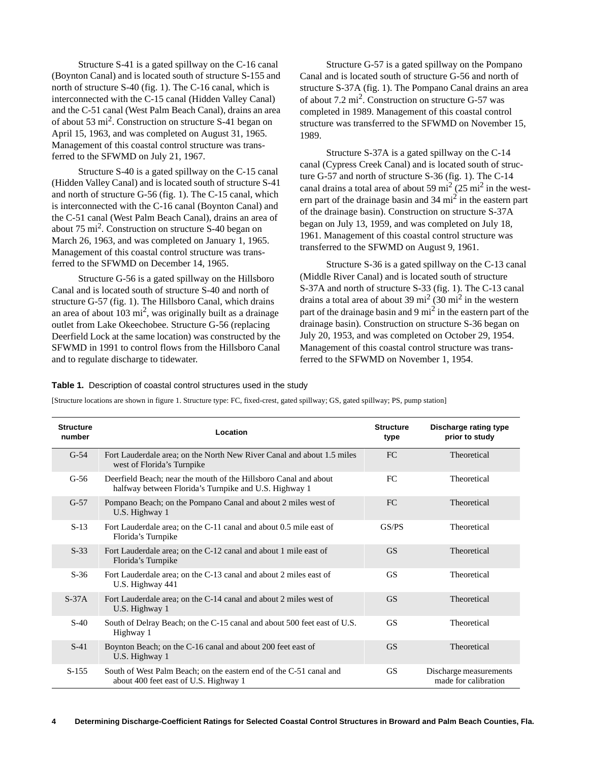Structure S-41 is a gated spillway on the C-16 canal (Boynton Canal) and is located south of structure S-155 and north of structure S-40 (fig. 1). The C-16 canal, which is interconnected with the C-15 canal (Hidden Valley Canal) and the C-51 canal (West Palm Beach Canal), drains an area of about 53 mi2. Construction on structure S-41 began on April 15, 1963, and was completed on August 31, 1965. Management of this coastal control structure was transferred to the SFWMD on July 21, 1967.

Structure S-40 is a gated spillway on the C-15 canal (Hidden Valley Canal) and is located south of structure S-41 and north of structure G-56 (fig. 1). The C-15 canal, which is interconnected with the C-16 canal (Boynton Canal) and the C-51 canal (West Palm Beach Canal), drains an area of about  $75 \text{ mi}^2$ . Construction on structure S-40 began on March 26, 1963, and was completed on January 1, 1965. Management of this coastal control structure was transferred to the SFWMD on December 14, 1965.

Structure G-56 is a gated spillway on the Hillsboro Canal and is located south of structure S-40 and north of structure G-57 (fig. 1). The Hillsboro Canal, which drains an area of about  $103 \text{ mi}^2$ , was originally built as a drainage outlet from Lake Okeechobee. Structure G-56 (replacing Deerfield Lock at the same location) was constructed by the SFWMD in 1991 to control flows from the Hillsboro Canal and to regulate discharge to tidewater.

Structure G-57 is a gated spillway on the Pompano Canal and is located south of structure G-56 and north of structure S-37A (fig. 1). The Pompano Canal drains an area of about  $7.2 \text{ mi}^2$ . Construction on structure G-57 was completed in 1989. Management of this coastal control structure was transferred to the SFWMD on November 15, 1989.

Structure S-37A is a gated spillway on the C-14 canal (Cypress Creek Canal) and is located south of structure G-57 and north of structure S-36 (fig. 1). The C-14 canal drains a total area of about 59 mi<sup>2</sup> (25 mi<sup>2</sup> in the western part of the drainage basin and  $34 \text{ mi}^2$  in the eastern part of the drainage basin). Construction on structure S-37A began on July 13, 1959, and was completed on July 18, 1961. Management of this coastal control structure was transferred to the SFWMD on August 9, 1961.

Structure S-36 is a gated spillway on the C-13 canal (Middle River Canal) and is located south of structure S-37A and north of structure S-33 (fig. 1). The C-13 canal drains a total area of about 39 mi<sup>2</sup> (30 mi<sup>2</sup> in the western part of the drainage basin and 9  $\text{mi}^2$  in the eastern part of the drainage basin). Construction on structure S-36 began on July 20, 1953, and was completed on October 29, 1954. Management of this coastal control structure was transferred to the SFWMD on November 1, 1954.

#### **Table 1.** Description of coastal control structures used in the study

[Structure locations are shown in figure 1. Structure type: FC, fixed-crest, gated spillway; GS, gated spillway; PS, pump station]

| <b>Structure</b><br>number | Location                                                                                                                                                                   | <b>Structure</b><br>type | Discharge rating type<br>prior to study |  |
|----------------------------|----------------------------------------------------------------------------------------------------------------------------------------------------------------------------|--------------------------|-----------------------------------------|--|
| $G-54$                     | Fort Lauderdale area; on the North New River Canal and about 1.5 miles<br>west of Florida's Turnpike                                                                       | FC                       | Theoretical                             |  |
| $G-56$                     | Deerfield Beach; near the mouth of the Hillsboro Canal and about<br>halfway between Florida's Turnpike and U.S. Highway 1                                                  | FC                       | Theoretical                             |  |
| $G-57$                     | Pompano Beach; on the Pompano Canal and about 2 miles west of<br>U.S. Highway 1                                                                                            | FC.                      | Theoretical                             |  |
| $S-13$                     | Fort Lauderdale area; on the C-11 canal and about 0.5 mile east of<br>Florida's Turnpike                                                                                   | GS/PS                    | Theoretical                             |  |
| $S-33$                     | Fort Lauderdale area; on the C-12 canal and about 1 mile east of<br>Florida's Turnpike                                                                                     | <b>GS</b>                | Theoretical                             |  |
| $S-36$                     | Fort Lauderdale area; on the C-13 canal and about 2 miles east of<br>U.S. Highway 441                                                                                      | <b>GS</b>                | Theoretical                             |  |
| $S-37A$                    | Fort Lauderdale area; on the C-14 canal and about 2 miles west of<br>U.S. Highway 1                                                                                        | <b>GS</b>                | Theoretical                             |  |
| $S-40$                     | South of Delray Beach; on the C-15 canal and about 500 feet east of U.S.<br>Highway 1                                                                                      | <b>GS</b>                | Theoretical                             |  |
| $S-41$                     | Boynton Beach; on the C-16 canal and about 200 feet east of<br>U.S. Highway 1                                                                                              | <b>GS</b>                | Theoretical                             |  |
| $S-155$                    | South of West Palm Beach; on the eastern end of the C-51 canal and<br><b>GS</b><br>Discharge measurements<br>about 400 feet east of U.S. Highway 1<br>made for calibration |                          |                                         |  |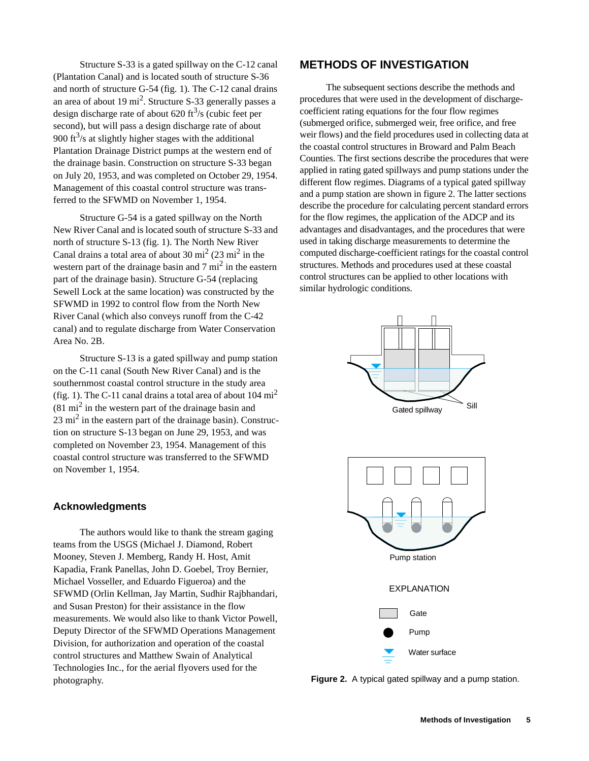Structure S-33 is a gated spillway on the C-12 canal (Plantation Canal) and is located south of structure S-36 and north of structure G-54 (fig. 1). The C-12 canal drains an area of about 19 mi<sup>2</sup>. Structure S-33 generally passes a design discharge rate of about 620 ft<sup>3</sup>/s (cubic feet per second), but will pass a design discharge rate of about 900 ft $\frac{3}{s}$  at slightly higher stages with the additional Plantation Drainage District pumps at the western end of the drainage basin. Construction on structure S-33 began on July 20, 1953, and was completed on October 29, 1954. Management of this coastal control structure was transferred to the SFWMD on November 1, 1954.

Structure G-54 is a gated spillway on the North New River Canal and is located south of structure S-33 and north of structure S-13 (fig. 1). The North New River Canal drains a total area of about 30 mi<sup>2</sup> (23 mi<sup>2</sup> in the western part of the drainage basin and  $7 \text{ mi}^2$  in the eastern part of the drainage basin). Structure G-54 (replacing Sewell Lock at the same location) was constructed by the SFWMD in 1992 to control flow from the North New River Canal (which also conveys runoff from the C-42 canal) and to regulate discharge from Water Conservation Area No. 2B.

Structure S-13 is a gated spillway and pump station on the C-11 canal (South New River Canal) and is the southernmost coastal control structure in the study area (fig. 1). The C-11 canal drains a total area of about  $104 \text{ mi}^2$  $(81 \text{ mi}^2)$  in the western part of the drainage basin and  $23 \text{ mi}^2$  in the eastern part of the drainage basin). Construction on structure S-13 began on June 29, 1953, and was completed on November 23, 1954. Management of this coastal control structure was transferred to the SFWMD on November 1, 1954.

### **Acknowledgments**

The authors would like to thank the stream gaging teams from the USGS (Michael J. Diamond, Robert Mooney, Steven J. Memberg, Randy H. Host, Amit Kapadia, Frank Panellas, John D. Goebel, Troy Bernier, Michael Vosseller, and Eduardo Figueroa) and the SFWMD (Orlin Kellman, Jay Martin, Sudhir Rajbhandari, and Susan Preston) for their assistance in the flow measurements. We would also like to thank Victor Powell, Deputy Director of the SFWMD Operations Management Division, for authorization and operation of the coastal control structures and Matthew Swain of Analytical Technologies Inc., for the aerial flyovers used for the photography.

## **METHODS OF INVESTIGATION**

The subsequent sections describe the methods and procedures that were used in the development of dischargecoefficient rating equations for the four flow regimes (submerged orifice, submerged weir, free orifice, and free weir flows) and the field procedures used in collecting data at the coastal control structures in Broward and Palm Beach Counties. The first sections describe the procedures that were applied in rating gated spillways and pump stations under the different flow regimes. Diagrams of a typical gated spillway and a pump station are shown in figure 2. The latter sections describe the procedure for calculating percent standard errors for the flow regimes, the application of the ADCP and its advantages and disadvantages, and the procedures that were used in taking discharge measurements to determine the computed discharge-coefficient ratings for the coastal control structures. Methods and procedures used at these coastal control structures can be applied to other locations with similar hydrologic conditions.



**Figure 2.** A typical gated spillway and a pump station.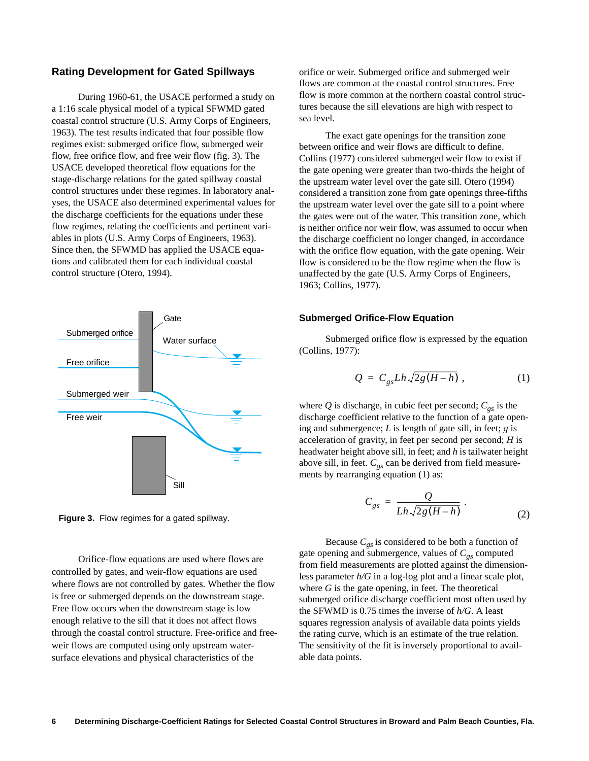## **Rating Development for Gated Spillways**

During 1960-61, the USACE performed a study on a 1:16 scale physical model of a typical SFWMD gated coastal control structure (U.S. Army Corps of Engineers, 1963). The test results indicated that four possible flow regimes exist: submerged orifice flow, submerged weir flow, free orifice flow, and free weir flow (fig. 3). The USACE developed theoretical flow equations for the stage-discharge relations for the gated spillway coastal control structures under these regimes. In laboratory analyses, the USACE also determined experimental values for the discharge coefficients for the equations under these flow regimes, relating the coefficients and pertinent variables in plots (U.S. Army Corps of Engineers, 1963). Since then, the SFWMD has applied the USACE equations and calibrated them for each individual coastal control structure (Otero, 1994).





Orifice-flow equations are used where flows are controlled by gates, and weir-flow equations are used where flows are not controlled by gates. Whether the flow is free or submerged depends on the downstream stage. Free flow occurs when the downstream stage is low enough relative to the sill that it does not affect flows through the coastal control structure. Free-orifice and freeweir flows are computed using only upstream watersurface elevations and physical characteristics of the

orifice or weir. Submerged orifice and submerged weir flows are common at the coastal control structures. Free flow is more common at the northern coastal control structures because the sill elevations are high with respect to sea level.

The exact gate openings for the transition zone between orifice and weir flows are difficult to define. Collins (1977) considered submerged weir flow to exist if the gate opening were greater than two-thirds the height of the upstream water level over the gate sill. Otero (1994) considered a transition zone from gate openings three-fifths the upstream water level over the gate sill to a point where the gates were out of the water. This transition zone, which is neither orifice nor weir flow, was assumed to occur when the discharge coefficient no longer changed, in accordance with the orifice flow equation, with the gate opening. Weir flow is considered to be the flow regime when the flow is unaffected by the gate (U.S. Army Corps of Engineers, 1963; Collins, 1977).

#### **Submerged Orifice-Flow Equation**

Submerged orifice flow is expressed by the equation (Collins, 1977):

$$
Q = C_{gs} Lh \sqrt{2g(H-h)}, \qquad (1)
$$

where  $Q$  is discharge, in cubic feet per second;  $C_{gs}$  is the discharge coefficient relative to the function of a gate opening and submergence; *L* is length of gate sill, in feet; *g* is acceleration of gravity, in feet per second per second; *H* is headwater height above sill, in feet; and *h* is tailwater height above sill, in feet.  $C_{gs}$  can be derived from field measurements by rearranging equation (1) as:

$$
C_{gs} = \frac{Q}{Lh\sqrt{2g(H-h)}}.
$$
 (2)

Because  $C_{gs}$  is considered to be both a function of gate opening and submergence, values of  $C_{gs}$  computed from field measurements are plotted against the dimensionless parameter *h/G* in a log-log plot and a linear scale plot, where  $G$  is the gate opening, in feet. The theoretical submerged orifice discharge coefficient most often used by the SFWMD is 0.75 times the inverse of *h/G*. A least squares regression analysis of available data points yields the rating curve, which is an estimate of the true relation. The sensitivity of the fit is inversely proportional to available data points.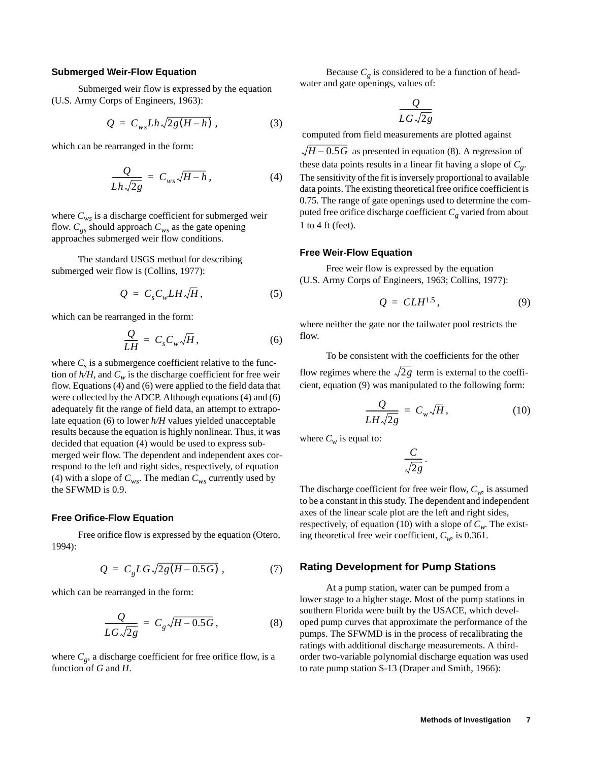#### **Submerged Weir-Flow Equation**

Submerged weir flow is expressed by the equation (U.S. Army Corps of Engineers, 1963):

$$
Q = C_{ws} Lh \sqrt{2g(H-h)}, \qquad (3)
$$

which can be rearranged in the form:

$$
\frac{Q}{Lh\sqrt{2g}} = C_{ws}\sqrt{H-h}, \qquad (4)
$$

where  $C_{ws}$  is a discharge coefficient for submerged weir flow.  $C_{gs}$  should approach  $C_{ws}$  as the gate opening approaches submerged weir flow conditions.

The standard USGS method for describing submerged weir flow is (Collins, 1977):

$$
Q = C_s C_w L H \sqrt{H}, \qquad (5)
$$

which can be rearranged in the form:

$$
\frac{Q}{LH} = C_s C_w \sqrt{H},\qquad (6)
$$

where  $C_s$  is a submergence coefficient relative to the function of  $h/H$ , and  $C_w$  is the discharge coefficient for free weir flow. Equations (4) and (6) were applied to the field data that were collected by the ADCP. Although equations (4) and (6) adequately fit the range of field data, an attempt to extrapolate equation (6) to lower *h/H* values yielded unacceptable results because the equation is highly nonlinear. Thus, it was decided that equation (4) would be used to express submerged weir flow. The dependent and independent axes correspond to the left and right sides, respectively, of equation (4) with a slope of  $C_{ws}$ . The median  $C_{ws}$  currently used by the SFWMD is 0.9.

#### **Free Orifice-Flow Equation**

Free orifice flow is expressed by the equation (Otero, 1994):

$$
Q = C_g LG \sqrt{2g(H - 0.5G)} \tag{7}
$$

which can be rearranged in the form:

$$
\frac{Q}{LG\sqrt{2g}} = C_g\sqrt{H - 0.5G},
$$
 (8)

where  $C_g$ , a discharge coefficient for free orifice flow, is a function of *G* and *H*.

Because  $C_g$  is considered to be a function of headwater and gate openings, values of:

$$
\frac{Q}{LG\sqrt{2g}}
$$

computed from field measurements are plotted against

 $H - 0.5G$  as presented in equation (8). A regression of these data points results in a linear fit having a slope of *Cg*. The sensitivity of the fit is inversely proportional to available data points. The existing theoretical free orifice coefficient is 0.75. The range of gate openings used to determine the computed free orifice discharge coefficient  $C_g$  varied from about 1 to 4 ft (feet).

#### **Free Weir-Flow Equation**

Free weir flow is expressed by the equation (U.S. Army Corps of Engineers, 1963; Collins, 1977):

$$
Q = CLH^{1.5}, \tag{9}
$$

where neither the gate nor the tailwater pool restricts the flow.

To be consistent with the coefficients for the other flow regimes where the  $\sqrt{2g}$  term is external to the coefficient, equation (9) was manipulated to the following form:

$$
\frac{Q}{LH\sqrt{2g}} = C_w\sqrt{H},\qquad (10)
$$

where  $C_w$  is equal to:

$$
\frac{C}{\sqrt{2g}}.
$$

The discharge coefficient for free weir flow,  $C_w$ , is assumed to be a constant in this study. The dependent and independent axes of the linear scale plot are the left and right sides, respectively, of equation (10) with a slope of  $C_w$ . The existing theoretical free weir coefficient,  $C_w$ , is 0.361.

#### **Rating Development for Pump Stations**

At a pump station, water can be pumped from a lower stage to a higher stage. Most of the pump stations in southern Florida were built by the USACE, which developed pump curves that approximate the performance of the pumps. The SFWMD is in the process of recalibrating the ratings with additional discharge measurements. A thirdorder two-variable polynomial discharge equation was used to rate pump station S-13 (Draper and Smith, 1966):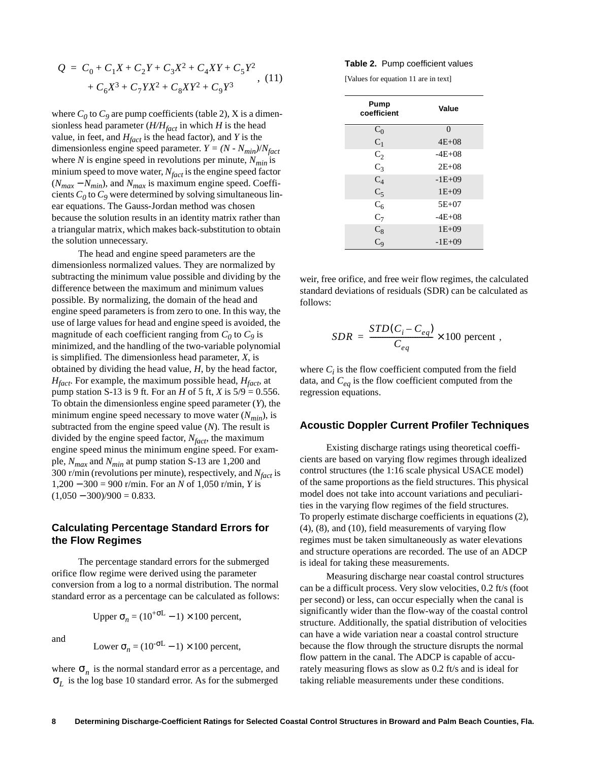$$
Q = C_0 + C_1 X + C_2 Y + C_3 X^2 + C_4 XY + C_5 Y^2
$$
  
+  $C_6 X^3 + C_7 Y X^2 + C_8 XY^2 + C_9 Y^3$ , (11)

where  $C_0$  to  $C_9$  are pump coefficients (table 2), X is a dimensionless head parameter  $(H/H_{fact}$  in which *H* is the head value, in feet, and  $H_{fact}$  is the head factor), and *Y* is the dimensionless engine speed parameter.  $Y = (N - N_{min})/N_{fact}$ where *N* is engine speed in revolutions per minute,  $N_{min}$  is minium speed to move water,  $N_{fact}$  is the engine speed factor  $(N_{max} - N_{min})$ , and  $N_{max}$  is maximum engine speed. Coefficients  $C_0$  to  $C_9$  were determined by solving simultaneous linear equations. The Gauss-Jordan method was chosen because the solution results in an identity matrix rather than a triangular matrix, which makes back-substitution to obtain the solution unnecessary.

The head and engine speed parameters are the dimensionless normalized values. They are normalized by subtracting the minimum value possible and dividing by the difference between the maximum and minimum values possible. By normalizing, the domain of the head and engine speed parameters is from zero to one. In this way, the use of large values for head and engine speed is avoided, the magnitude of each coefficient ranging from  $C_0$  to  $C_9$  is minimized, and the handling of the two-variable polynomial is simplified. The dimensionless head parameter, *X*, is obtained by dividing the head value, *H*, by the head factor, *Hfact*. For example, the maximum possible head, *Hfact*, at pump station S-13 is 9 ft. For an *H* of 5 ft, *X* is  $5/9 = 0.556$ . To obtain the dimensionless engine speed parameter (*Y*), the minimum engine speed necessary to move water  $(N_{min})$ , is subtracted from the engine speed value (*N*). The result is divided by the engine speed factor, *Nfact*, the maximum engine speed minus the minimum engine speed. For example, *Nmax* and *Nmin* at pump station S-13 are 1,200 and 300 r/min (revolutions per minute), respectively, and *Nfact* is 1,200 − 300 = 900 r/min. For an *N* of 1,050 r/min, *Y* is  $(1,050 - 300)/900 = 0.833$ .

## **Calculating Percentage Standard Errors for the Flow Regimes**

The percentage standard errors for the submerged orifice flow regime were derived using the parameter conversion from a log to a normal distribution. The normal standard error as a percentage can be calculated as follows:

Upper  $\sigma_n = (10^{+\sigma L} - 1) \times 100$  percent,

and

Lower 
$$
\sigma_n = (10^{-\sigma L} - 1) \times 100
$$
 percent,

where  $\sigma_n$  is the normal standard error as a percentage, and  $\sigma_L$  is the log base 10 standard error. As for the submerged

#### **Table 2.** Pump coefficient values

[Values for equation 11 are in text]

| Pump<br>coefficient | Value     |
|---------------------|-----------|
| $C_0$               | $\Omega$  |
| $C_1$               | $4E + 08$ |
| $C_2$               | $-4E+08$  |
| $C_3$               | $2E + 08$ |
| $C_4$               | $-1E+09$  |
| $C_5$               | $1E+09$   |
| $C_6$               | $5E+07$   |
| $C_7$               | $-4E+08$  |
| $C_8$<br>$C_9$      | $1E + 09$ |
|                     | $-1E+09$  |

weir, free orifice, and free weir flow regimes, the calculated standard deviations of residuals (SDR) can be calculated as follows:

$$
SDR = \frac{STD(C_i - C_{eq})}{C_{eq}} \times 100 \text{ percent} ,
$$

where  $C_i$  is the flow coefficient computed from the field data, and  $C_{eq}$  is the flow coefficient computed from the regression equations.

#### **Acoustic Doppler Current Profiler Techniques**

Existing discharge ratings using theoretical coefficients are based on varying flow regimes through idealized control structures (the 1:16 scale physical USACE model) of the same proportions as the field structures. This physical model does not take into account variations and peculiarities in the varying flow regimes of the field structures. To properly estimate discharge coefficients in equations (2), (4), (8), and (10), field measurements of varying flow regimes must be taken simultaneously as water elevations and structure operations are recorded. The use of an ADCP is ideal for taking these measurements.

Measuring discharge near coastal control structures can be a difficult process. Very slow velocities, 0.2 ft/s (foot per second) or less, can occur especially when the canal is significantly wider than the flow-way of the coastal control structure. Additionally, the spatial distribution of velocities can have a wide variation near a coastal control structure because the flow through the structure disrupts the normal flow pattern in the canal. The ADCP is capable of accurately measuring flows as slow as 0.2 ft/s and is ideal for taking reliable measurements under these conditions.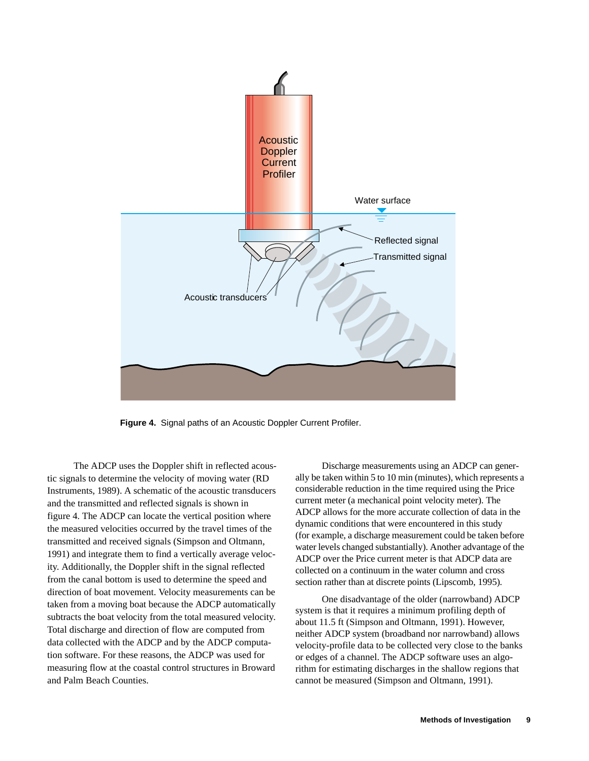

**Figure 4.** Signal paths of an Acoustic Doppler Current Profiler.

The ADCP uses the Doppler shift in reflected acoustic signals to determine the velocity of moving water (RD Instruments, 1989). A schematic of the acoustic transducers and the transmitted and reflected signals is shown in figure 4. The ADCP can locate the vertical position where the measured velocities occurred by the travel times of the transmitted and received signals (Simpson and Oltmann, 1991) and integrate them to find a vertically average velocity. Additionally, the Doppler shift in the signal reflected from the canal bottom is used to determine the speed and direction of boat movement. Velocity measurements can be taken from a moving boat because the ADCP automatically subtracts the boat velocity from the total measured velocity. Total discharge and direction of flow are computed from data collected with the ADCP and by the ADCP computation software. For these reasons, the ADCP was used for measuring flow at the coastal control structures in Broward and Palm Beach Counties.

Discharge measurements using an ADCP can generally be taken within 5 to 10 min (minutes), which represents a considerable reduction in the time required using the Price current meter (a mechanical point velocity meter). The ADCP allows for the more accurate collection of data in the dynamic conditions that were encountered in this study (for example, a discharge measurement could be taken before water levels changed substantially). Another advantage of the ADCP over the Price current meter is that ADCP data are collected on a continuum in the water column and cross section rather than at discrete points (Lipscomb, 1995).

One disadvantage of the older (narrowband) ADCP system is that it requires a minimum profiling depth of about 11.5 ft (Simpson and Oltmann, 1991). However, neither ADCP system (broadband nor narrowband) allows velocity-profile data to be collected very close to the banks or edges of a channel. The ADCP software uses an algorithm for estimating discharges in the shallow regions that cannot be measured (Simpson and Oltmann, 1991).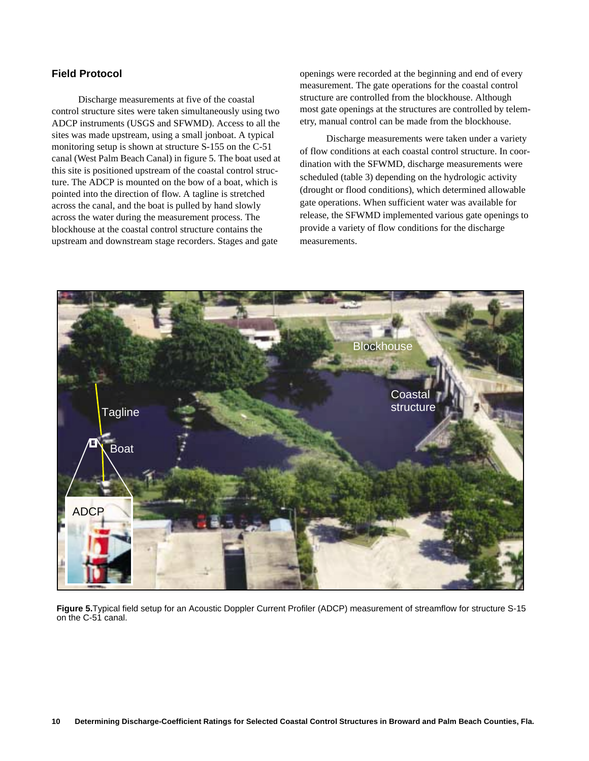## **Field Protocol**

Discharge measurements at five of the coastal control structure sites were taken simultaneously using two ADCP instruments (USGS and SFWMD). Access to all the sites was made upstream, using a small jonboat. A typical monitoring setup is shown at structure S-155 on the C-51 canal (West Palm Beach Canal) in figure 5. The boat used at this site is positioned upstream of the coastal control structure. The ADCP is mounted on the bow of a boat, which is pointed into the direction of flow. A tagline is stretched across the canal, and the boat is pulled by hand slowly across the water during the measurement process. The blockhouse at the coastal control structure contains the upstream and downstream stage recorders. Stages and gate

openings were recorded at the beginning and end of every measurement. The gate operations for the coastal control structure are controlled from the blockhouse. Although most gate openings at the structures are controlled by telemetry, manual control can be made from the blockhouse.

Discharge measurements were taken under a variety of flow conditions at each coastal control structure. In coordination with the SFWMD, discharge measurements were scheduled (table 3) depending on the hydrologic activity (drought or flood conditions), which determined allowable gate operations. When sufficient water was available for release, the SFWMD implemented various gate openings to provide a variety of flow conditions for the discharge measurements.



**Figure 5.**Typical field setup for an Acoustic Doppler Current Profiler (ADCP) measurement of streamflow for structure S-15 on the C-51 canal.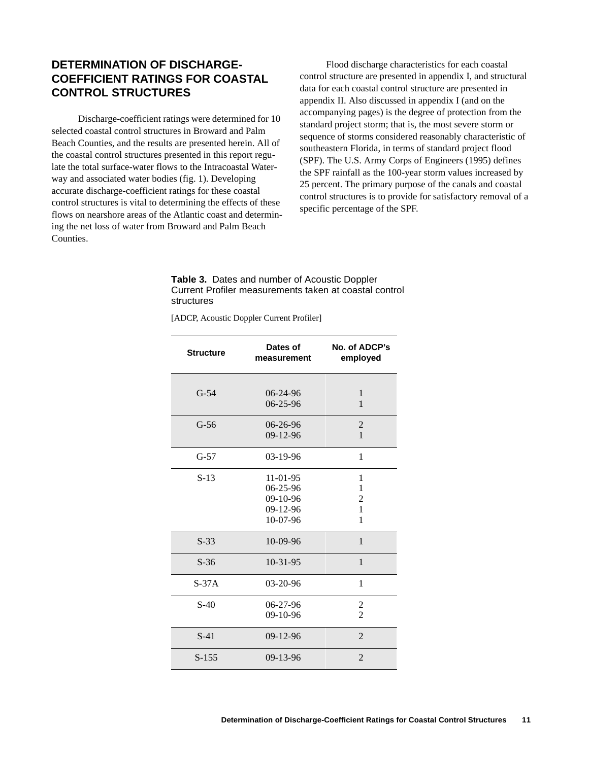## **DETERMINATION OF DISCHARGE-COEFFICIENT RATINGS FOR COASTAL CONTROL STRUCTURES**

Discharge-coefficient ratings were determined for 10 selected coastal control structures in Broward and Palm Beach Counties, and the results are presented herein. All of the coastal control structures presented in this report regulate the total surface-water flows to the Intracoastal Waterway and associated water bodies (fig. 1). Developing accurate discharge-coefficient ratings for these coastal control structures is vital to determining the effects of these flows on nearshore areas of the Atlantic coast and determining the net loss of water from Broward and Palm Beach Counties.

Flood discharge characteristics for each coastal control structure are presented in appendix I, and structural data for each coastal control structure are presented in appendix II. Also discussed in appendix I (and on the accompanying pages) is the degree of protection from the standard project storm; that is, the most severe storm or sequence of storms considered reasonably characteristic of southeastern Florida, in terms of standard project flood (SPF). The U.S. Army Corps of Engineers (1995) defines the SPF rainfall as the 100-year storm values increased by 25 percent. The primary purpose of the canals and coastal control structures is to provide for satisfactory removal of a specific percentage of the SPF.

**Table 3.** Dates and number of Acoustic Doppler Current Profiler measurements taken at coastal control structures

[ADCP, Acoustic Doppler Current Profiler]

| <b>Structure</b> | Dates of<br>measurement                                        | No. of ADCP's<br>employed                 |
|------------------|----------------------------------------------------------------|-------------------------------------------|
| $G-54$           | $06 - 24 - 96$<br>$06 - 25 - 96$                               | $\mathbf{1}$<br>1                         |
| $G-56$           | $06 - 26 - 96$<br>$09-12-96$                                   | $\overline{2}$<br>$\mathbf{1}$            |
| $G-57$           | 03-19-96                                                       | 1                                         |
| $S-13$           | $11 - 01 - 95$<br>06-25-96<br>09-10-96<br>09-12-96<br>10-07-96 | 1<br>$\mathbf{1}$<br>2<br>1<br>1          |
| $S-33$           | 10-09-96                                                       | $\mathbf{1}$                              |
| $S-36$           | $10-31-95$                                                     | 1                                         |
| $S-37A$          | $03 - 20 - 96$                                                 | 1                                         |
| $S-40$           | $06 - 27 - 96$<br>09-10-96                                     | $\overline{\mathbf{c}}$<br>$\overline{2}$ |
| $S-41$           | 09-12-96                                                       | $\overline{2}$                            |
| $S-155$          | $09 - 13 - 96$                                                 | $\overline{2}$                            |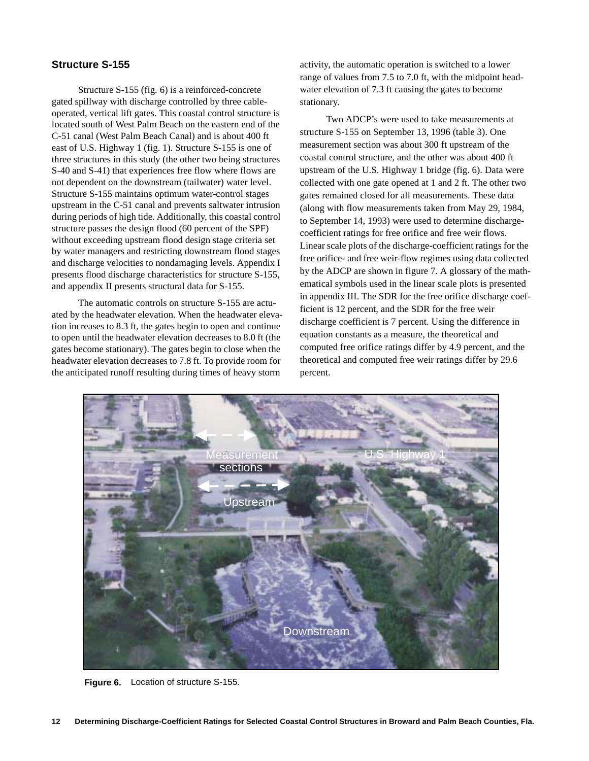## **Structure S-155**

Structure S-155 (fig. 6) is a reinforced-concrete gated spillway with discharge controlled by three cableoperated, vertical lift gates. This coastal control structure is located south of West Palm Beach on the eastern end of the C-51 canal (West Palm Beach Canal) and is about 400 ft east of U.S. Highway 1 (fig. 1). Structure S-155 is one of three structures in this study (the other two being structures S-40 and S-41) that experiences free flow where flows are not dependent on the downstream (tailwater) water level. Structure S-155 maintains optimum water-control stages upstream in the C-51 canal and prevents saltwater intrusion during periods of high tide. Additionally, this coastal control structure passes the design flood (60 percent of the SPF) without exceeding upstream flood design stage criteria set by water managers and restricting downstream flood stages and discharge velocities to nondamaging levels. Appendix I presents flood discharge characteristics for structure S-155, and appendix II presents structural data for S-155.

The automatic controls on structure S-155 are actuated by the headwater elevation. When the headwater elevation increases to 8.3 ft, the gates begin to open and continue to open until the headwater elevation decreases to 8.0 ft (the gates become stationary). The gates begin to close when the headwater elevation decreases to 7.8 ft. To provide room for the anticipated runoff resulting during times of heavy storm

activity, the automatic operation is switched to a lower range of values from 7.5 to 7.0 ft, with the midpoint headwater elevation of 7.3 ft causing the gates to become stationary.

Two ADCP's were used to take measurements at structure S-155 on September 13, 1996 (table 3). One measurement section was about 300 ft upstream of the coastal control structure, and the other was about 400 ft upstream of the U.S. Highway 1 bridge (fig. 6). Data were collected with one gate opened at 1 and 2 ft. The other two gates remained closed for all measurements. These data (along with flow measurements taken from May 29, 1984, to September 14, 1993) were used to determine dischargecoefficient ratings for free orifice and free weir flows. Linear scale plots of the discharge-coefficient ratings for the free orifice- and free weir-flow regimes using data collected by the ADCP are shown in figure 7. A glossary of the mathematical symbols used in the linear scale plots is presented in appendix III. The SDR for the free orifice discharge coefficient is 12 percent, and the SDR for the free weir discharge coefficient is 7 percent. Using the difference in equation constants as a measure, the theoretical and computed free orifice ratings differ by 4.9 percent, and the theoretical and computed free weir ratings differ by 29.6 percent.



**Figure 6.** Location of structure S-155.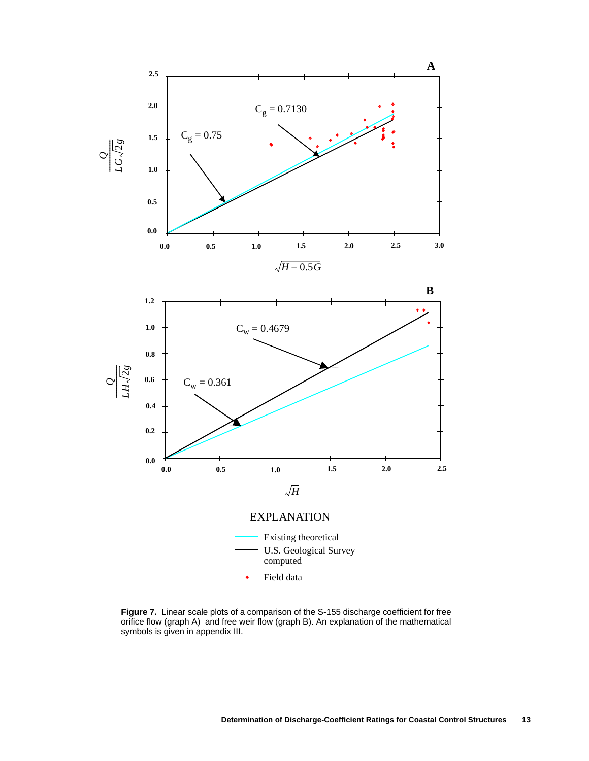

**Figure 7.** Linear scale plots of a comparison of the S-155 discharge coefficient for free orifice flow (graph A) and free weir flow (graph B). An explanation of the mathematical symbols is given in appendix III.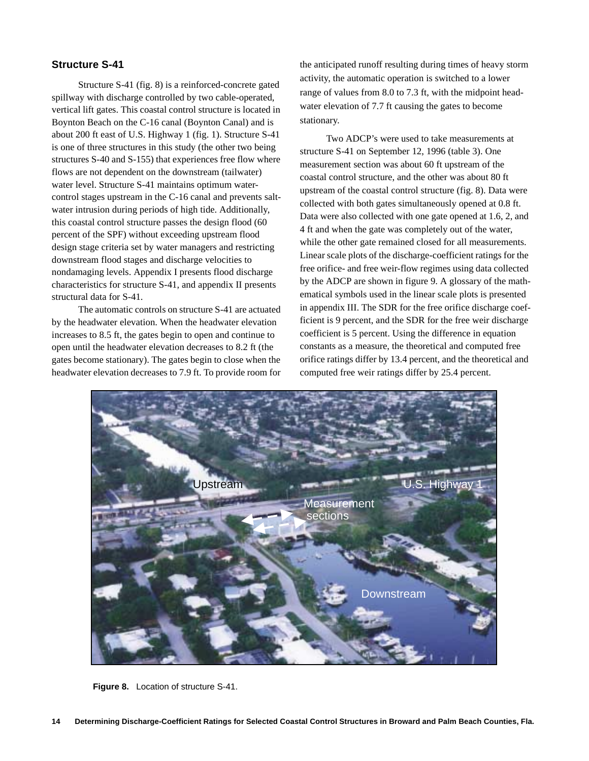## **Structure S-41**

Structure S-41 (fig. 8) is a reinforced-concrete gated spillway with discharge controlled by two cable-operated, vertical lift gates. This coastal control structure is located in Boynton Beach on the C-16 canal (Boynton Canal) and is about 200 ft east of U.S. Highway 1 (fig. 1). Structure S-41 is one of three structures in this study (the other two being structures S-40 and S-155) that experiences free flow where flows are not dependent on the downstream (tailwater) water level. Structure S-41 maintains optimum watercontrol stages upstream in the C-16 canal and prevents saltwater intrusion during periods of high tide. Additionally, this coastal control structure passes the design flood (60 percent of the SPF) without exceeding upstream flood design stage criteria set by water managers and restricting downstream flood stages and discharge velocities to nondamaging levels. Appendix I presents flood discharge characteristics for structure S-41, and appendix II presents structural data for S-41.

The automatic controls on structure S-41 are actuated by the headwater elevation. When the headwater elevation increases to 8.5 ft, the gates begin to open and continue to open until the headwater elevation decreases to 8.2 ft (the gates become stationary). The gates begin to close when the headwater elevation decreases to 7.9 ft. To provide room for the anticipated runoff resulting during times of heavy storm activity, the automatic operation is switched to a lower range of values from 8.0 to 7.3 ft, with the midpoint headwater elevation of 7.7 ft causing the gates to become stationary.

Two ADCP's were used to take measurements at structure S-41 on September 12, 1996 (table 3). One measurement section was about 60 ft upstream of the coastal control structure, and the other was about 80 ft upstream of the coastal control structure (fig. 8). Data were collected with both gates simultaneously opened at 0.8 ft. Data were also collected with one gate opened at 1.6, 2, and 4 ft and when the gate was completely out of the water, while the other gate remained closed for all measurements. Linear scale plots of the discharge-coefficient ratings for the free orifice- and free weir-flow regimes using data collected by the ADCP are shown in figure 9. A glossary of the mathematical symbols used in the linear scale plots is presented in appendix III. The SDR for the free orifice discharge coefficient is 9 percent, and the SDR for the free weir discharge coefficient is 5 percent. Using the difference in equation constants as a measure, the theoretical and computed free orifice ratings differ by 13.4 percent, and the theoretical and computed free weir ratings differ by 25.4 percent.



**Figure 8.** Location of structure S-41.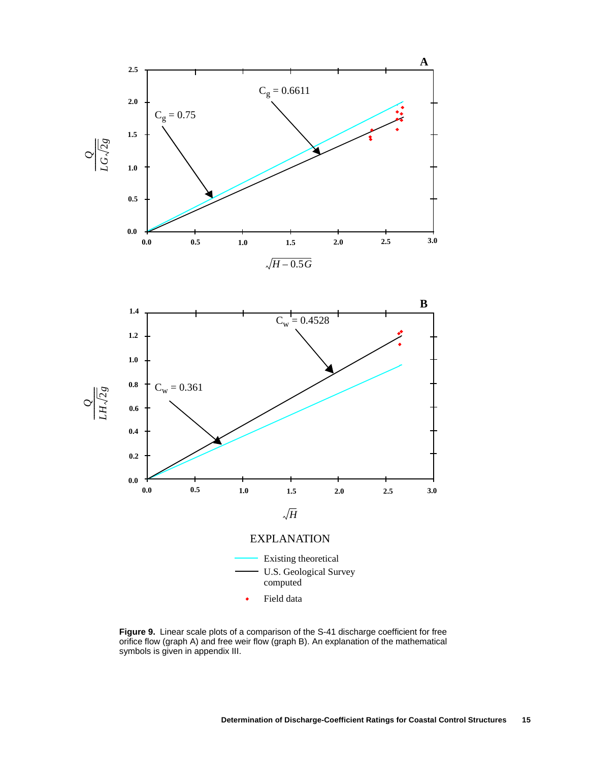

Field data

**Figure 9.** Linear scale plots of a comparison of the S-41 discharge coefficient for free orifice flow (graph A) and free weir flow (graph B). An explanation of the mathematical symbols is given in appendix III.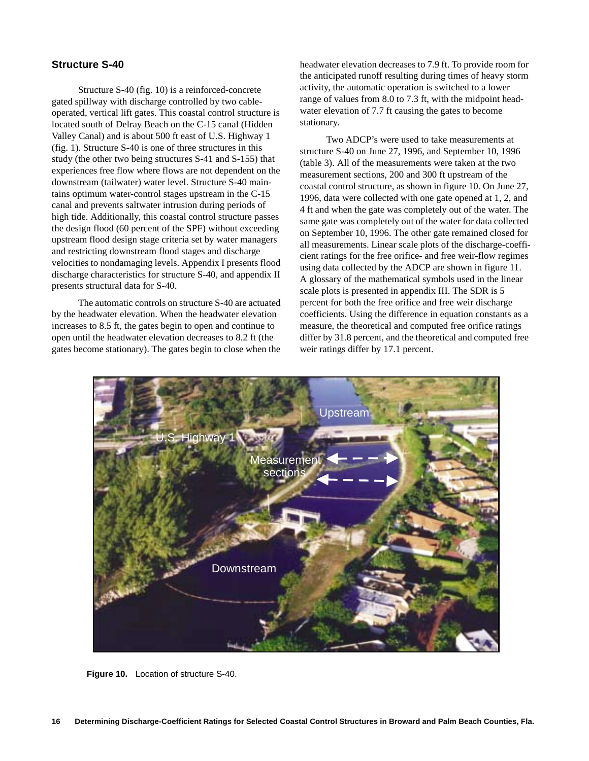## **Structure S-40**

Structure S-40 (fig. 10) is a reinforced-concrete gated spillway with discharge controlled by two cableoperated, vertical lift gates. This coastal control structure is located south of Delray Beach on the C-15 canal (Hidden Valley Canal) and is about 500 ft east of U.S. Highway 1 (fig. 1). Structure S-40 is one of three structures in this study (the other two being structures S-41 and S-155) that experiences free flow where flows are not dependent on the downstream (tailwater) water level. Structure S-40 maintains optimum water-control stages upstream in the C-15 canal and prevents saltwater intrusion during periods of high tide. Additionally, this coastal control structure passes the design flood (60 percent of the SPF) without exceeding upstream flood design stage criteria set by water managers and restricting downstream flood stages and discharge velocities to nondamaging levels. Appendix I presents flood discharge characteristics for structure S-40, and appendix II presents structural data for S-40.

The automatic controls on structure S-40 are actuated by the headwater elevation. When the headwater elevation increases to 8.5 ft, the gates begin to open and continue to open until the headwater elevation decreases to 8.2 ft (the gates become stationary). The gates begin to close when the headwater elevation decreases to 7.9 ft. To provide room for the anticipated runoff resulting during times of heavy storm activity, the automatic operation is switched to a lower range of values from 8.0 to 7.3 ft, with the midpoint headwater elevation of 7.7 ft causing the gates to become stationary.

Two ADCP's were used to take measurements at structure S-40 on June 27, 1996, and September 10, 1996 (table 3). All of the measurements were taken at the two measurement sections, 200 and 300 ft upstream of the coastal control structure, as shown in figure 10. On June 27, 1996, data were collected with one gate opened at 1, 2, and 4 ft and when the gate was completely out of the water. The same gate was completely out of the water for data collected on September 10, 1996. The other gate remained closed for all measurements. Linear scale plots of the discharge-coefficient ratings for the free orifice- and free weir-flow regimes using data collected by the ADCP are shown in figure 11. A glossary of the mathematical symbols used in the linear scale plots is presented in appendix III. The SDR is 5 percent for both the free orifice and free weir discharge coefficients. Using the difference in equation constants as a measure, the theoretical and computed free orifice ratings differ by 31.8 percent, and the theoretical and computed free weir ratings differ by 17.1 percent.



**Figure 10.** Location of structure S-40.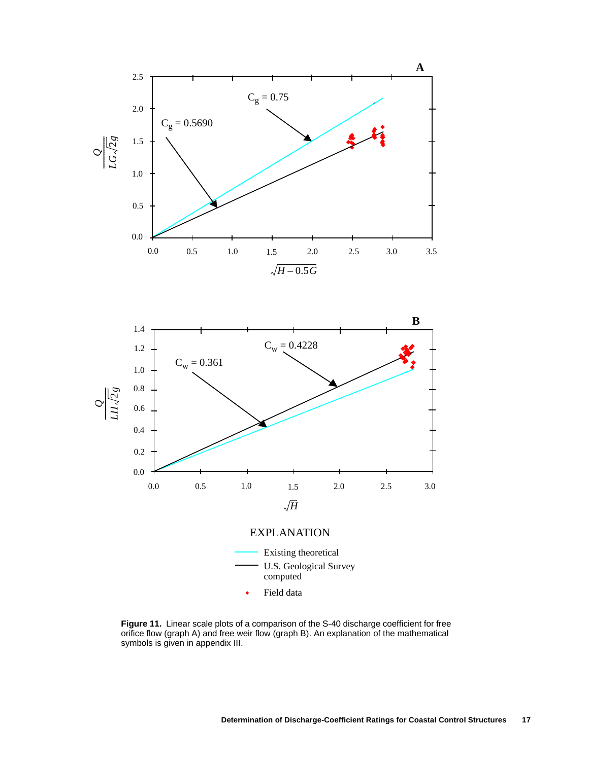



**Figure 11.** Linear scale plots of a comparison of the S-40 discharge coefficient for free orifice flow (graph A) and free weir flow (graph B). An explanation of the mathematical symbols is given in appendix III.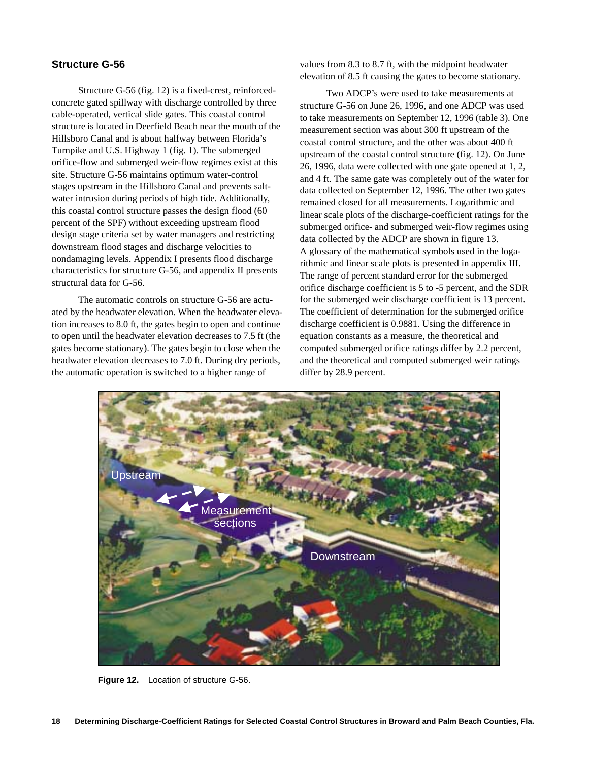## **Structure G-56**

Structure G-56 (fig. 12) is a fixed-crest, reinforcedconcrete gated spillway with discharge controlled by three cable-operated, vertical slide gates. This coastal control structure is located in Deerfield Beach near the mouth of the Hillsboro Canal and is about halfway between Florida's Turnpike and U.S. Highway 1 (fig. 1). The submerged orifice-flow and submerged weir-flow regimes exist at this site. Structure G-56 maintains optimum water-control stages upstream in the Hillsboro Canal and prevents saltwater intrusion during periods of high tide. Additionally, this coastal control structure passes the design flood (60 percent of the SPF) without exceeding upstream flood design stage criteria set by water managers and restricting downstream flood stages and discharge velocities to nondamaging levels. Appendix I presents flood discharge characteristics for structure G-56, and appendix II presents structural data for G-56.

The automatic controls on structure G-56 are actuated by the headwater elevation. When the headwater elevation increases to 8.0 ft, the gates begin to open and continue to open until the headwater elevation decreases to 7.5 ft (the gates become stationary). The gates begin to close when the headwater elevation decreases to 7.0 ft. During dry periods, the automatic operation is switched to a higher range of

values from 8.3 to 8.7 ft, with the midpoint headwater elevation of 8.5 ft causing the gates to become stationary.

Two ADCP's were used to take measurements at structure G-56 on June 26, 1996, and one ADCP was used to take measurements on September 12, 1996 (table 3). One measurement section was about 300 ft upstream of the coastal control structure, and the other was about 400 ft upstream of the coastal control structure (fig. 12). On June 26, 1996, data were collected with one gate opened at 1, 2, and 4 ft. The same gate was completely out of the water for data collected on September 12, 1996. The other two gates remained closed for all measurements. Logarithmic and linear scale plots of the discharge-coefficient ratings for the submerged orifice- and submerged weir-flow regimes using data collected by the ADCP are shown in figure 13. A glossary of the mathematical symbols used in the logarithmic and linear scale plots is presented in appendix III. The range of percent standard error for the submerged orifice discharge coefficient is 5 to -5 percent, and the SDR for the submerged weir discharge coefficient is 13 percent. The coefficient of determination for the submerged orifice discharge coefficient is 0.9881. Using the difference in equation constants as a measure, the theoretical and computed submerged orifice ratings differ by 2.2 percent, and the theoretical and computed submerged weir ratings differ by 28.9 percent.



**Figure 12.** Location of structure G-56.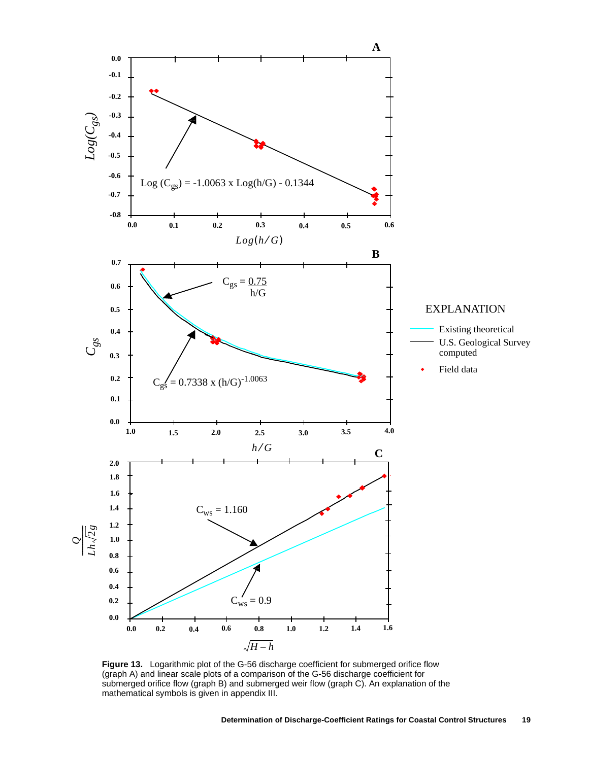

**Figure 13.** Logarithmic plot of the G-56 discharge coefficient for submerged orifice flow (graph A) and linear scale plots of a comparison of the G-56 discharge coefficient for submerged orifice flow (graph B) and submerged weir flow (graph C). An explanation of the mathematical symbols is given in appendix III.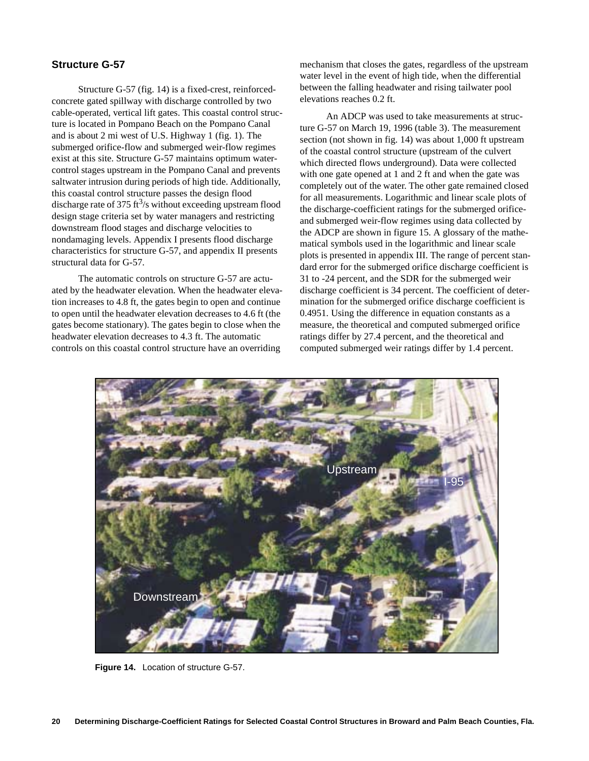## **Structure G-57**

Structure G-57 (fig. 14) is a fixed-crest, reinforcedconcrete gated spillway with discharge controlled by two cable-operated, vertical lift gates. This coastal control structure is located in Pompano Beach on the Pompano Canal and is about 2 mi west of U.S. Highway 1 (fig. 1). The submerged orifice-flow and submerged weir-flow regimes exist at this site. Structure G-57 maintains optimum watercontrol stages upstream in the Pompano Canal and prevents saltwater intrusion during periods of high tide. Additionally, this coastal control structure passes the design flood discharge rate of 375 ft<sup>3</sup>/s without exceeding upstream flood design stage criteria set by water managers and restricting downstream flood stages and discharge velocities to nondamaging levels. Appendix I presents flood discharge characteristics for structure G-57, and appendix II presents structural data for G-57.

The automatic controls on structure G-57 are actuated by the headwater elevation. When the headwater elevation increases to 4.8 ft, the gates begin to open and continue to open until the headwater elevation decreases to 4.6 ft (the gates become stationary). The gates begin to close when the headwater elevation decreases to 4.3 ft. The automatic controls on this coastal control structure have an overriding

mechanism that closes the gates, regardless of the upstream water level in the event of high tide, when the differential between the falling headwater and rising tailwater pool elevations reaches 0.2 ft.

An ADCP was used to take measurements at structure G-57 on March 19, 1996 (table 3). The measurement section (not shown in fig. 14) was about 1,000 ft upstream of the coastal control structure (upstream of the culvert which directed flows underground). Data were collected with one gate opened at 1 and 2 ft and when the gate was completely out of the water. The other gate remained closed for all measurements. Logarithmic and linear scale plots of the discharge-coefficient ratings for the submerged orificeand submerged weir-flow regimes using data collected by the ADCP are shown in figure 15. A glossary of the mathematical symbols used in the logarithmic and linear scale plots is presented in appendix III. The range of percent standard error for the submerged orifice discharge coefficient is 31 to -24 percent, and the SDR for the submerged weir discharge coefficient is 34 percent. The coefficient of determination for the submerged orifice discharge coefficient is 0.4951. Using the difference in equation constants as a measure, the theoretical and computed submerged orifice ratings differ by 27.4 percent, and the theoretical and computed submerged weir ratings differ by 1.4 percent.



**Figure 14.** Location of structure G-57.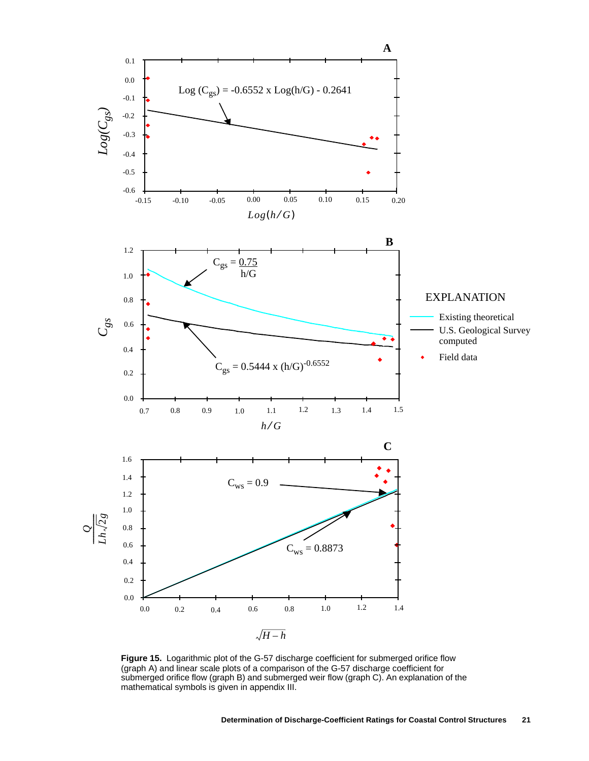

**Figure 15.** Logarithmic plot of the G-57 discharge coefficient for submerged orifice flow (graph A) and linear scale plots of a comparison of the G-57 discharge coefficient for submerged orifice flow (graph B) and submerged weir flow (graph C). An explanation of the mathematical symbols is given in appendix III.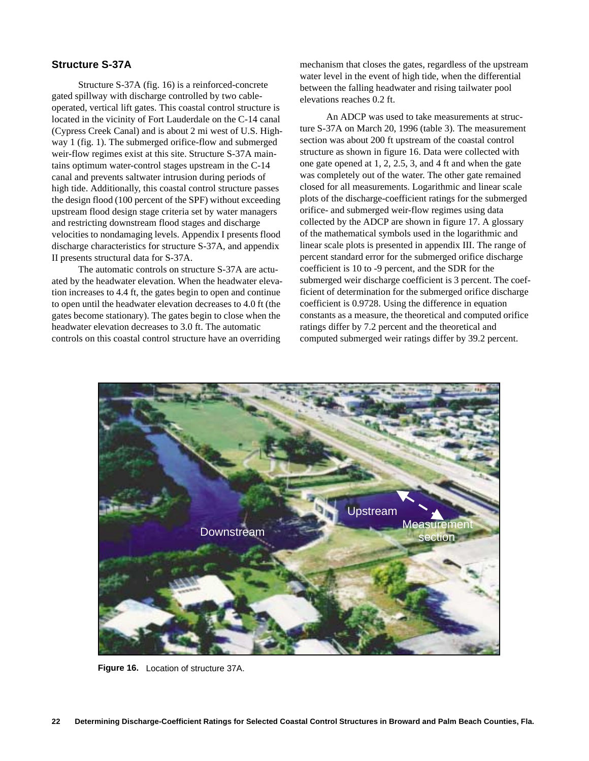## **Structure S-37A**

Structure S-37A (fig. 16) is a reinforced-concrete gated spillway with discharge controlled by two cableoperated, vertical lift gates. This coastal control structure is located in the vicinity of Fort Lauderdale on the C-14 canal (Cypress Creek Canal) and is about 2 mi west of U.S. Highway 1 (fig. 1). The submerged orifice-flow and submerged weir-flow regimes exist at this site. Structure S-37A maintains optimum water-control stages upstream in the C-14 canal and prevents saltwater intrusion during periods of high tide. Additionally, this coastal control structure passes the design flood (100 percent of the SPF) without exceeding upstream flood design stage criteria set by water managers and restricting downstream flood stages and discharge velocities to nondamaging levels. Appendix I presents flood discharge characteristics for structure S-37A, and appendix II presents structural data for S-37A.

The automatic controls on structure S-37A are actuated by the headwater elevation. When the headwater elevation increases to 4.4 ft, the gates begin to open and continue to open until the headwater elevation decreases to 4.0 ft (the gates become stationary). The gates begin to close when the headwater elevation decreases to 3.0 ft. The automatic controls on this coastal control structure have an overriding

mechanism that closes the gates, regardless of the upstream water level in the event of high tide, when the differential between the falling headwater and rising tailwater pool elevations reaches 0.2 ft.

An ADCP was used to take measurements at structure S-37A on March 20, 1996 (table 3). The measurement section was about 200 ft upstream of the coastal control structure as shown in figure 16. Data were collected with one gate opened at 1, 2, 2.5, 3, and 4 ft and when the gate was completely out of the water. The other gate remained closed for all measurements. Logarithmic and linear scale plots of the discharge-coefficient ratings for the submerged orifice- and submerged weir-flow regimes using data collected by the ADCP are shown in figure 17. A glossary of the mathematical symbols used in the logarithmic and linear scale plots is presented in appendix III. The range of percent standard error for the submerged orifice discharge coefficient is 10 to -9 percent, and the SDR for the submerged weir discharge coefficient is 3 percent. The coefficient of determination for the submerged orifice discharge coefficient is 0.9728. Using the difference in equation constants as a measure, the theoretical and computed orifice ratings differ by 7.2 percent and the theoretical and computed submerged weir ratings differ by 39.2 percent.



**Figure 16.** Location of structure 37A.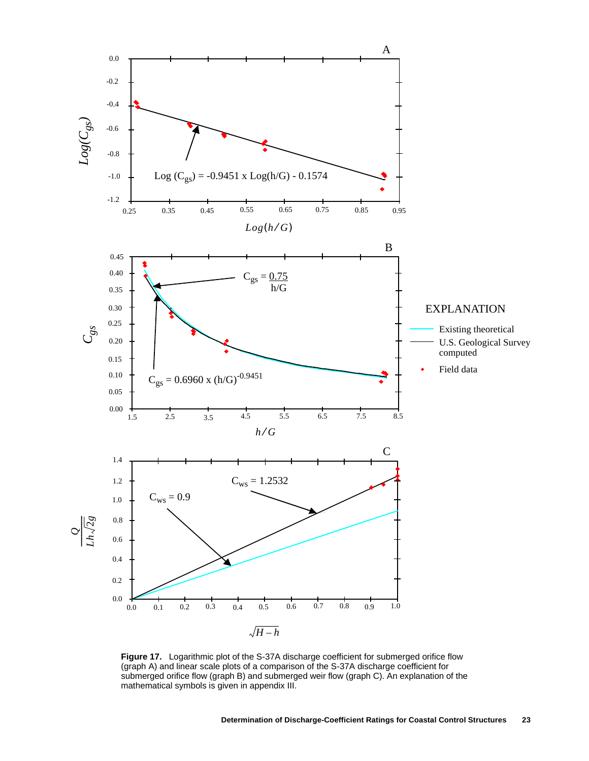

**Figure 17.** Logarithmic plot of the S-37A discharge coefficient for submerged orifice flow (graph A) and linear scale plots of a comparison of the S-37A discharge coefficient for submerged orifice flow (graph B) and submerged weir flow (graph C). An explanation of the mathematical symbols is given in appendix III.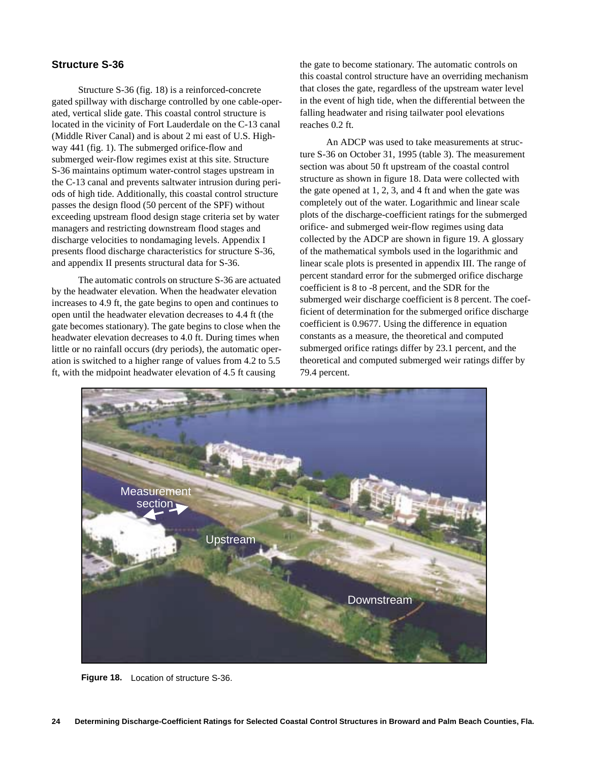## **Structure S-36**

Structure S-36 (fig. 18) is a reinforced-concrete gated spillway with discharge controlled by one cable-operated, vertical slide gate. This coastal control structure is located in the vicinity of Fort Lauderdale on the C-13 canal (Middle River Canal) and is about 2 mi east of U.S. Highway 441 (fig. 1). The submerged orifice-flow and submerged weir-flow regimes exist at this site. Structure S-36 maintains optimum water-control stages upstream in the C-13 canal and prevents saltwater intrusion during periods of high tide. Additionally, this coastal control structure passes the design flood (50 percent of the SPF) without exceeding upstream flood design stage criteria set by water managers and restricting downstream flood stages and discharge velocities to nondamaging levels. Appendix I presents flood discharge characteristics for structure S-36, and appendix II presents structural data for S-36.

The automatic controls on structure S-36 are actuated by the headwater elevation. When the headwater elevation increases to 4.9 ft, the gate begins to open and continues to open until the headwater elevation decreases to 4.4 ft (the gate becomes stationary). The gate begins to close when the headwater elevation decreases to 4.0 ft. During times when little or no rainfall occurs (dry periods), the automatic operation is switched to a higher range of values from 4.2 to 5.5 ft, with the midpoint headwater elevation of 4.5 ft causing

the gate to become stationary. The automatic controls on this coastal control structure have an overriding mechanism that closes the gate, regardless of the upstream water level in the event of high tide, when the differential between the falling headwater and rising tailwater pool elevations reaches 0.2 ft.

An ADCP was used to take measurements at structure S-36 on October 31, 1995 (table 3). The measurement section was about 50 ft upstream of the coastal control structure as shown in figure 18. Data were collected with the gate opened at 1, 2, 3, and 4 ft and when the gate was completely out of the water. Logarithmic and linear scale plots of the discharge-coefficient ratings for the submerged orifice- and submerged weir-flow regimes using data collected by the ADCP are shown in figure 19. A glossary of the mathematical symbols used in the logarithmic and linear scale plots is presented in appendix III. The range of percent standard error for the submerged orifice discharge coefficient is 8 to -8 percent, and the SDR for the submerged weir discharge coefficient is 8 percent. The coefficient of determination for the submerged orifice discharge coefficient is 0.9677. Using the difference in equation constants as a measure, the theoretical and computed submerged orifice ratings differ by 23.1 percent, and the theoretical and computed submerged weir ratings differ by 79.4 percent.



**Figure 18.** Location of structure S-36.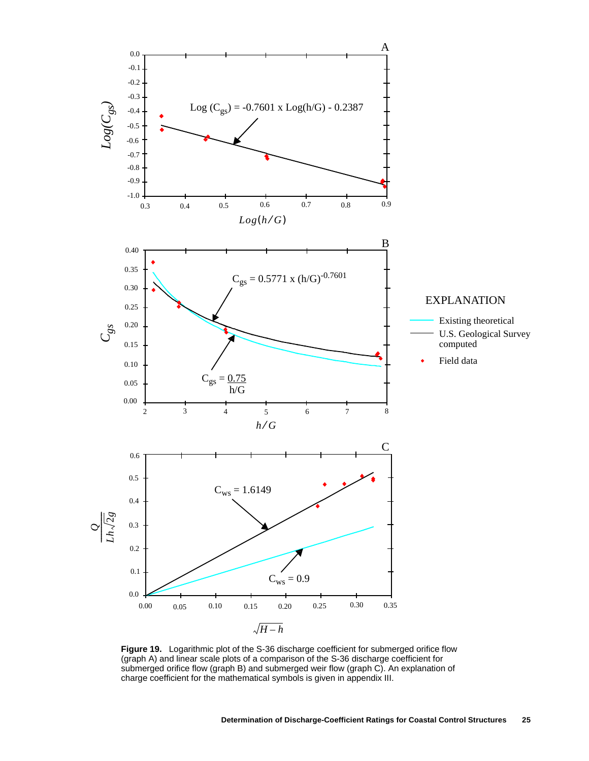

**Figure 19.** Logarithmic plot of the S-36 discharge coefficient for submerged orifice flow (graph A) and linear scale plots of a comparison of the S-36 discharge coefficient for submerged orifice flow (graph B) and submerged weir flow (graph C). An explanation of charge coefficient for the mathematical symbols is given in appendix III.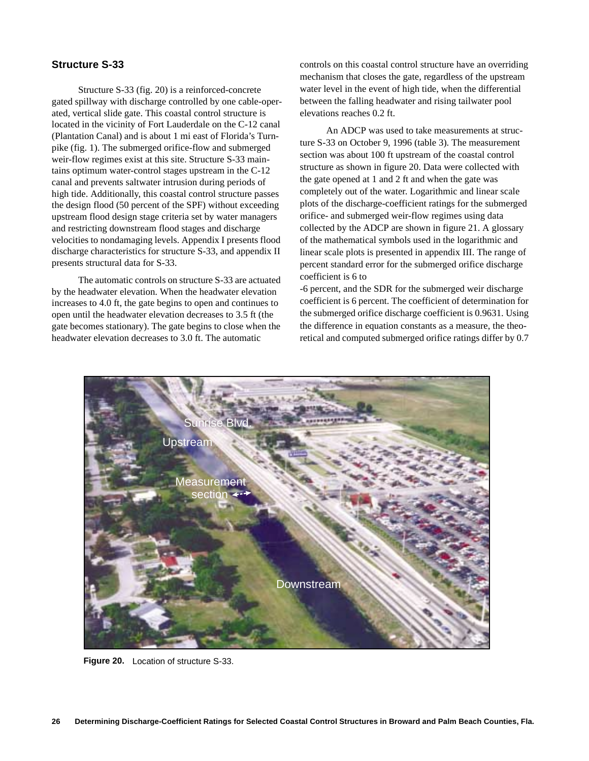## **Structure S-33**

Structure S-33 (fig. 20) is a reinforced-concrete gated spillway with discharge controlled by one cable-operated, vertical slide gate. This coastal control structure is located in the vicinity of Fort Lauderdale on the C-12 canal (Plantation Canal) and is about 1 mi east of Florida's Turnpike (fig. 1). The submerged orifice-flow and submerged weir-flow regimes exist at this site. Structure S-33 maintains optimum water-control stages upstream in the C-12 canal and prevents saltwater intrusion during periods of high tide. Additionally, this coastal control structure passes the design flood (50 percent of the SPF) without exceeding upstream flood design stage criteria set by water managers and restricting downstream flood stages and discharge velocities to nondamaging levels. Appendix I presents flood discharge characteristics for structure S-33, and appendix II presents structural data for S-33.

The automatic controls on structure S-33 are actuated by the headwater elevation. When the headwater elevation increases to 4.0 ft, the gate begins to open and continues to open until the headwater elevation decreases to 3.5 ft (the gate becomes stationary). The gate begins to close when the headwater elevation decreases to 3.0 ft. The automatic

controls on this coastal control structure have an overriding mechanism that closes the gate, regardless of the upstream water level in the event of high tide, when the differential between the falling headwater and rising tailwater pool elevations reaches 0.2 ft.

An ADCP was used to take measurements at structure S-33 on October 9, 1996 (table 3). The measurement section was about 100 ft upstream of the coastal control structure as shown in figure 20. Data were collected with the gate opened at 1 and 2 ft and when the gate was completely out of the water. Logarithmic and linear scale plots of the discharge-coefficient ratings for the submerged orifice- and submerged weir-flow regimes using data collected by the ADCP are shown in figure 21. A glossary of the mathematical symbols used in the logarithmic and linear scale plots is presented in appendix III. The range of percent standard error for the submerged orifice discharge coefficient is 6 to

-6 percent, and the SDR for the submerged weir discharge coefficient is 6 percent. The coefficient of determination for the submerged orifice discharge coefficient is 0.9631. Using the difference in equation constants as a measure, the theoretical and computed submerged orifice ratings differ by 0.7



**Figure 20.** Location of structure S-33.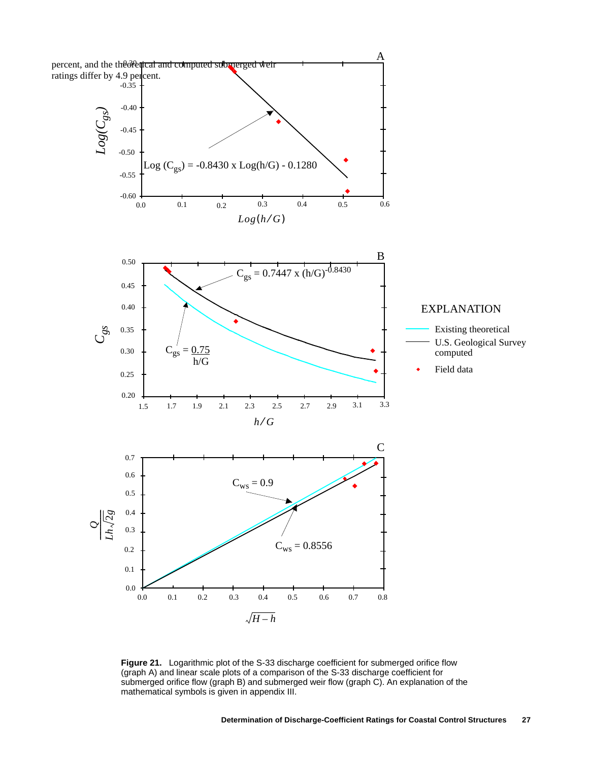

**Figure 21.** Logarithmic plot of the S-33 discharge coefficient for submerged orifice flow (graph A) and linear scale plots of a comparison of the S-33 discharge coefficient for submerged orifice flow (graph B) and submerged weir flow (graph C). An explanation of the mathematical symbols is given in appendix III.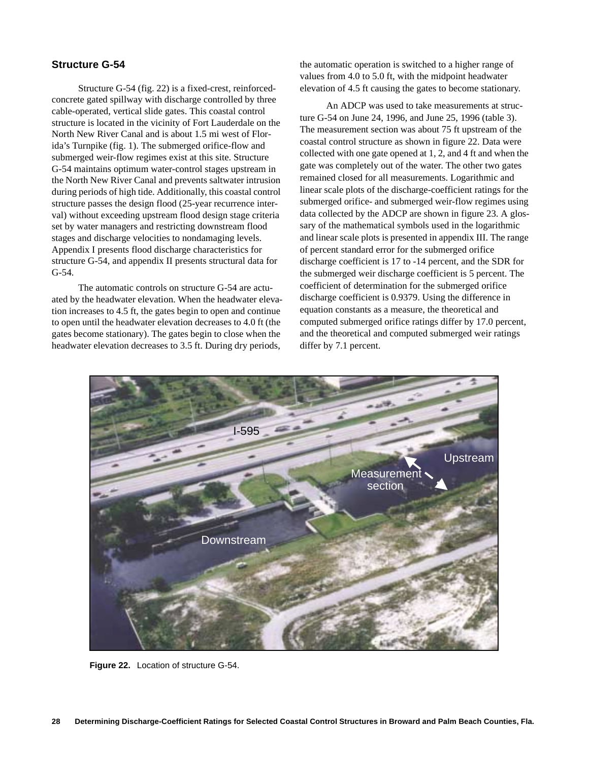## **Structure G-54**

Structure G-54 (fig. 22) is a fixed-crest, reinforcedconcrete gated spillway with discharge controlled by three cable-operated, vertical slide gates. This coastal control structure is located in the vicinity of Fort Lauderdale on the North New River Canal and is about 1.5 mi west of Florida's Turnpike (fig. 1). The submerged orifice-flow and submerged weir-flow regimes exist at this site. Structure G-54 maintains optimum water-control stages upstream in the North New River Canal and prevents saltwater intrusion during periods of high tide. Additionally, this coastal control structure passes the design flood (25-year recurrence interval) without exceeding upstream flood design stage criteria set by water managers and restricting downstream flood stages and discharge velocities to nondamaging levels. Appendix I presents flood discharge characteristics for structure G-54, and appendix II presents structural data for G-54.

The automatic controls on structure G-54 are actuated by the headwater elevation. When the headwater elevation increases to 4.5 ft, the gates begin to open and continue to open until the headwater elevation decreases to 4.0 ft (the gates become stationary). The gates begin to close when the headwater elevation decreases to 3.5 ft. During dry periods,

the automatic operation is switched to a higher range of values from 4.0 to 5.0 ft, with the midpoint headwater elevation of 4.5 ft causing the gates to become stationary.

An ADCP was used to take measurements at structure G-54 on June 24, 1996, and June 25, 1996 (table 3). The measurement section was about 75 ft upstream of the coastal control structure as shown in figure 22. Data were collected with one gate opened at 1, 2, and 4 ft and when the gate was completely out of the water. The other two gates remained closed for all measurements. Logarithmic and linear scale plots of the discharge-coefficient ratings for the submerged orifice- and submerged weir-flow regimes using data collected by the ADCP are shown in figure 23. A glossary of the mathematical symbols used in the logarithmic and linear scale plots is presented in appendix III. The range of percent standard error for the submerged orifice discharge coefficient is 17 to -14 percent, and the SDR for the submerged weir discharge coefficient is 5 percent. The coefficient of determination for the submerged orifice discharge coefficient is 0.9379. Using the difference in equation constants as a measure, the theoretical and computed submerged orifice ratings differ by 17.0 percent, and the theoretical and computed submerged weir ratings differ by 7.1 percent.



**Figure 22.** Location of structure G-54.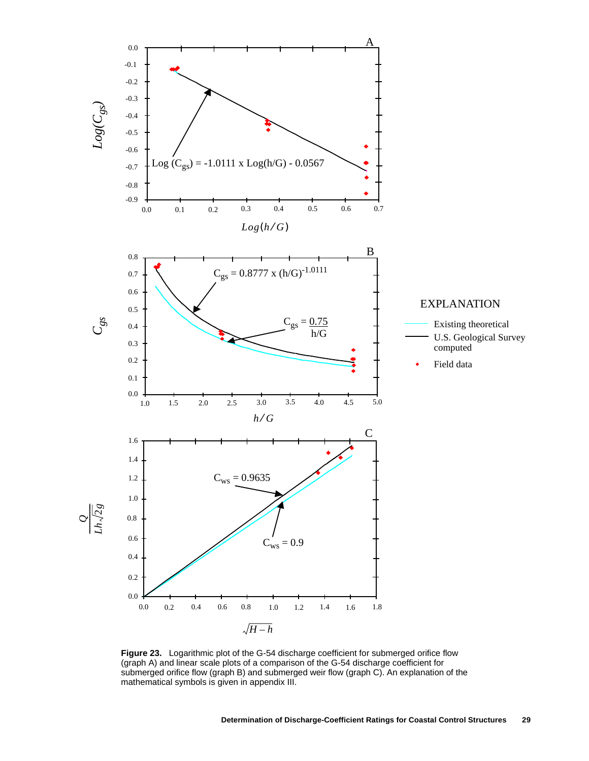

**Figure 23.** Logarithmic plot of the G-54 discharge coefficient for submerged orifice flow (graph A) and linear scale plots of a comparison of the G-54 discharge coefficient for submerged orifice flow (graph B) and submerged weir flow (graph C). An explanation of the mathematical symbols is given in appendix III.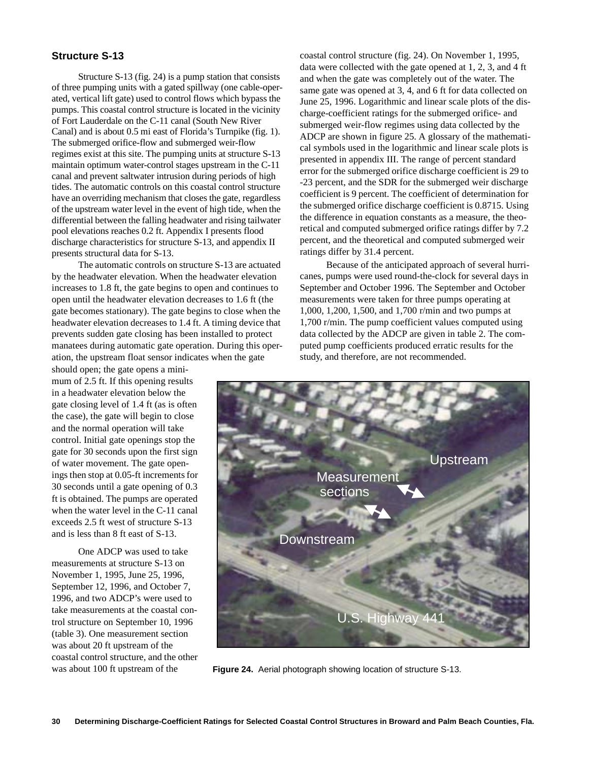## **Structure S-13**

Structure S-13 (fig. 24) is a pump station that consists of three pumping units with a gated spillway (one cable-operated, vertical lift gate) used to control flows which bypass the pumps. This coastal control structure is located in the vicinity of Fort Lauderdale on the C-11 canal (South New River Canal) and is about 0.5 mi east of Florida's Turnpike (fig. 1). The submerged orifice-flow and submerged weir-flow regimes exist at this site. The pumping units at structure S-13 maintain optimum water-control stages upstream in the C-11 canal and prevent saltwater intrusion during periods of high tides. The automatic controls on this coastal control structure have an overriding mechanism that closes the gate, regardless of the upstream water level in the event of high tide, when the differential between the falling headwater and rising tailwater pool elevations reaches 0.2 ft. Appendix I presents flood discharge characteristics for structure S-13, and appendix II presents structural data for S-13.

The automatic controls on structure S-13 are actuated by the headwater elevation. When the headwater elevation increases to 1.8 ft, the gate begins to open and continues to open until the headwater elevation decreases to 1.6 ft (the gate becomes stationary). The gate begins to close when the headwater elevation decreases to 1.4 ft. A timing device that prevents sudden gate closing has been installed to protect manatees during automatic gate operation. During this operation, the upstream float sensor indicates when the gate

should open; the gate opens a minimum of 2.5 ft. If this opening results in a headwater elevation below the gate closing level of 1.4 ft (as is often the case), the gate will begin to close and the normal operation will take control. Initial gate openings stop the gate for 30 seconds upon the first sign of water movement. The gate openings then stop at 0.05-ft increments for 30 seconds until a gate opening of 0.3 ft is obtained. The pumps are operated when the water level in the C-11 canal exceeds 2.5 ft west of structure S-13 and is less than 8 ft east of S-13.

One ADCP was used to take measurements at structure S-13 on November 1, 1995, June 25, 1996, September 12, 1996, and October 7, 1996, and two ADCP's were used to take measurements at the coastal control structure on September 10, 1996 (table 3). One measurement section was about 20 ft upstream of the coastal control structure, and the other was about 100 ft upstream of the

coastal control structure (fig. 24). On November 1, 1995, data were collected with the gate opened at 1, 2, 3, and 4 ft and when the gate was completely out of the water. The same gate was opened at 3, 4, and 6 ft for data collected on June 25, 1996. Logarithmic and linear scale plots of the discharge-coefficient ratings for the submerged orifice- and submerged weir-flow regimes using data collected by the ADCP are shown in figure 25. A glossary of the mathematical symbols used in the logarithmic and linear scale plots is presented in appendix III. The range of percent standard error for the submerged orifice discharge coefficient is 29 to -23 percent, and the SDR for the submerged weir discharge coefficient is 9 percent. The coefficient of determination for the submerged orifice discharge coefficient is 0.8715. Using the difference in equation constants as a measure, the theoretical and computed submerged orifice ratings differ by 7.2 percent, and the theoretical and computed submerged weir ratings differ by 31.4 percent.

Because of the anticipated approach of several hurricanes, pumps were used round-the-clock for several days in September and October 1996. The September and October measurements were taken for three pumps operating at 1,000, 1,200, 1,500, and 1,700 r/min and two pumps at 1,700 r/min. The pump coefficient values computed using data collected by the ADCP are given in table 2. The computed pump coefficients produced erratic results for the study, and therefore, are not recommended.



**Figure 24.** Aerial photograph showing location of structure S-13.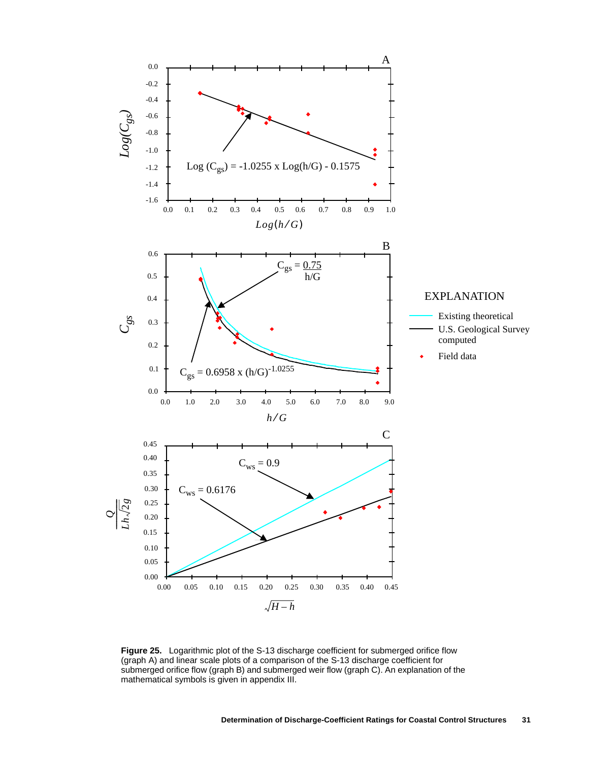

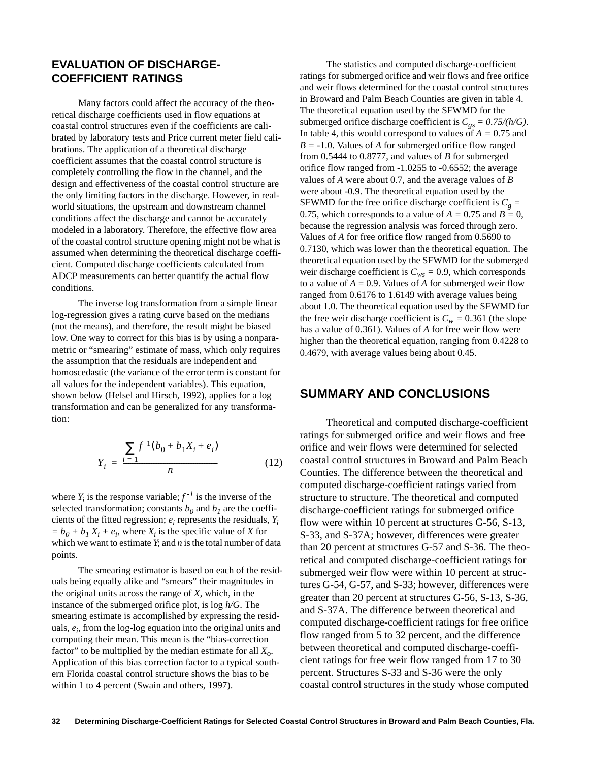## **EVALUATION OF DISCHARGE-COEFFICIENT RATINGS**

Many factors could affect the accuracy of the theoretical discharge coefficients used in flow equations at coastal control structures even if the coefficients are calibrated by laboratory tests and Price current meter field calibrations. The application of a theoretical discharge coefficient assumes that the coastal control structure is completely controlling the flow in the channel, and the design and effectiveness of the coastal control structure are the only limiting factors in the discharge. However, in realworld situations, the upstream and downstream channel conditions affect the discharge and cannot be accurately modeled in a laboratory. Therefore, the effective flow area of the coastal control structure opening might not be what is assumed when determining the theoretical discharge coefficient. Computed discharge coefficients calculated from ADCP measurements can better quantify the actual flow conditions.

The inverse log transformation from a simple linear log-regression gives a rating curve based on the medians (not the means), and therefore, the result might be biased low. One way to correct for this bias is by using a nonparametric or "smearing" estimate of mass, which only requires the assumption that the residuals are independent and homoscedastic (the variance of the error term is constant for all values for the independent variables). This equation, shown below (Helsel and Hirsch, 1992), applies for a log transformation and can be generalized for any transformation:

$$
Y_i = \frac{\sum_{i=1}^{i=1} f^{-1}(b_0 + b_1 X_i + e_i)}{n}
$$
 (12)

where  $Y_i$  is the response variable;  $f^{-1}$  is the inverse of the selected transformation; constants  $b_0$  and  $b_1$  are the coefficients of the fitted regression;  $e_i$  represents the residuals,  $Y_i$  $= b_0 + b_1 X_i + e_i$ , where  $X_i$  is the specific value of *X* for which we want to estimate *Y*; and *n* is the total number of data points.

The smearing estimator is based on each of the residuals being equally alike and "smears" their magnitudes in the original units across the range of *X*, which, in the instance of the submerged orifice plot, is log *h/G*. The smearing estimate is accomplished by expressing the residuals,  $e_i$ , from the log-log equation into the original units and computing their mean. This mean is the "bias-correction factor" to be multiplied by the median estimate for all  $X_{\alpha}$ . Application of this bias correction factor to a typical southern Florida coastal control structure shows the bias to be within 1 to 4 percent (Swain and others, 1997).

The statistics and computed discharge-coefficient ratings for submerged orifice and weir flows and free orifice and weir flows determined for the coastal control structures in Broward and Palm Beach Counties are given in table 4. The theoretical equation used by the SFWMD for the submerged orifice discharge coefficient is  $C_{gs} = 0.75/h/G$ . In table 4, this would correspond to values of *A =* 0.75 and *B =* -1.0. Values of *A* for submerged orifice flow ranged from 0.5444 to 0.8777, and values of *B* for submerged orifice flow ranged from -1.0255 to -0.6552; the average values of *A* were about 0.7, and the average values of *B* were about -0.9. The theoretical equation used by the SFWMD for the free orifice discharge coefficient is  $C_g$  = 0.75, which corresponds to a value of  $A = 0.75$  and  $B = 0$ , because the regression analysis was forced through zero. Values of *A* for free orifice flow ranged from 0.5690 to 0.7130, which was lower than the theoretical equation. The theoretical equation used by the SFWMD for the submerged weir discharge coefficient is  $C_{ws} = 0.9$ , which corresponds to a value of  $A = 0.9$ . Values of A for submerged weir flow ranged from 0.6176 to 1.6149 with average values being about 1.0. The theoretical equation used by the SFWMD for the free weir discharge coefficient is  $C_w = 0.361$  (the slope has a value of 0.361). Values of *A* for free weir flow were higher than the theoretical equation, ranging from 0.4228 to 0.4679, with average values being about 0.45.

## **SUMMARY AND CONCLUSIONS**

Theoretical and computed discharge-coefficient ratings for submerged orifice and weir flows and free orifice and weir flows were determined for selected coastal control structures in Broward and Palm Beach Counties. The difference between the theoretical and computed discharge-coefficient ratings varied from structure to structure. The theoretical and computed discharge-coefficient ratings for submerged orifice flow were within 10 percent at structures G-56, S-13, S-33, and S-37A; however, differences were greater than 20 percent at structures G-57 and S-36. The theoretical and computed discharge-coefficient ratings for submerged weir flow were within 10 percent at structures G-54, G-57, and S-33; however, differences were greater than 20 percent at structures G-56, S-13, S-36, and S-37A. The difference between theoretical and computed discharge-coefficient ratings for free orifice flow ranged from 5 to 32 percent, and the difference between theoretical and computed discharge-coefficient ratings for free weir flow ranged from 17 to 30 percent. Structures S-33 and S-36 were the only coastal control structures in the study whose computed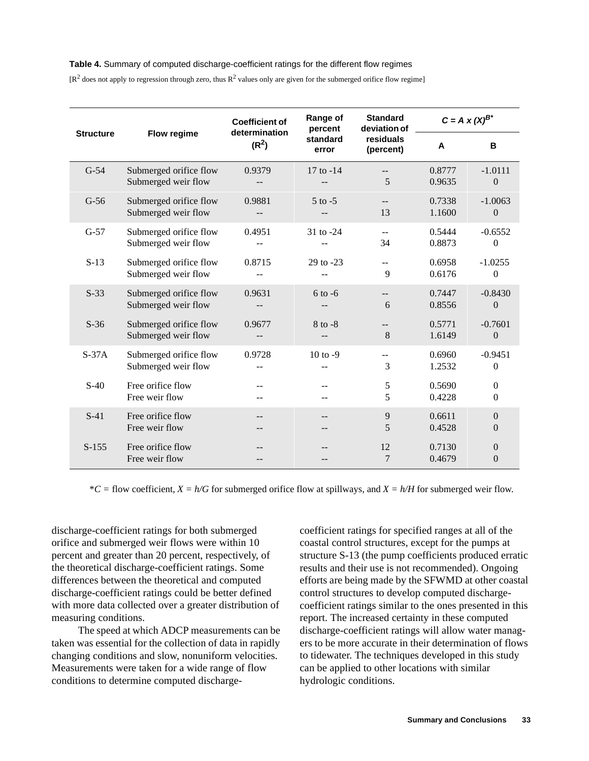#### **Table 4.** Summary of computed discharge-coefficient ratings for the different flow regimes

 $[R^2]$  does not apply to regression through zero, thus  $R^2$  values only are given for the submerged orifice flow regime]

|                  |                                               | <b>Coefficient of</b>              | Range of<br>percent | <b>Standard</b><br>deviation of | $C = A \times (X)^{B^*}$ |                           |  |
|------------------|-----------------------------------------------|------------------------------------|---------------------|---------------------------------|--------------------------|---------------------------|--|
| <b>Structure</b> | Flow regime                                   | determination<br>(R <sup>2</sup> ) | standard<br>error   | residuals<br>(percent)          | A                        | B                         |  |
| $G-54$           | Submerged orifice flow<br>Submerged weir flow | 0.9379                             | 17 to -14           | 5                               | 0.8777<br>0.9635         | $-1.0111$<br>$\mathbf{0}$ |  |
| $G-56$           | Submerged orifice flow<br>Submerged weir flow | 0.9881                             | $5$ to $-5$         | $- -$<br>13                     | 0.7338<br>1.1600         | $-1.0063$<br>$\Omega$     |  |
| $G-57$           | Submerged orifice flow<br>Submerged weir flow | 0.4951                             | $31$ to $-24$       | --<br>34                        | 0.5444<br>0.8873         | $-0.6552$<br>$\Omega$     |  |
| $S-13$           | Submerged orifice flow<br>Submerged weir flow | 0.8715                             | $29$ to $-23$       | $-$<br>9                        | 0.6958<br>0.6176         | $-1.0255$<br>$\Omega$     |  |
| $S-33$           | Submerged orifice flow<br>Submerged weir flow | 0.9631                             | $6$ to $-6$         | $- -$<br>6                      | 0.7447<br>0.8556         | $-0.8430$<br>$\theta$     |  |
| $S-36$           | Submerged orifice flow<br>Submerged weir flow | 0.9677                             | $8$ to $-8$         | --<br>8                         | 0.5771<br>1.6149         | $-0.7601$<br>$\mathbf{0}$ |  |
| $S-37A$          | Submerged orifice flow<br>Submerged weir flow | 0.9728<br>--                       | 10 to $-9$          | --<br>3                         | 0.6960<br>1.2532         | $-0.9451$<br>$\Omega$     |  |
| $S-40$           | Free orifice flow<br>Free weir flow           | $-$                                |                     | 5<br>5                          | 0.5690<br>0.4228         | $\mathbf{0}$<br>$\Omega$  |  |
| $S-41$           | Free orifice flow<br>Free weir flow           | $-$<br>--                          |                     | 9<br>5                          | 0.6611<br>0.4528         | $\theta$<br>$\Omega$      |  |
| $S-155$          | Free orifice flow<br>Free weir flow           |                                    |                     | 12<br>7                         | 0.7130<br>0.4679         | $\Omega$<br>$\Omega$      |  |

 $*C =$  flow coefficient,  $X = h/G$  for submerged orifice flow at spillways, and  $X = h/H$  for submerged weir flow.

discharge-coefficient ratings for both submerged orifice and submerged weir flows were within 10 percent and greater than 20 percent, respectively, of the theoretical discharge-coefficient ratings. Some differences between the theoretical and computed discharge-coefficient ratings could be better defined with more data collected over a greater distribution of measuring conditions.

The speed at which ADCP measurements can be taken was essential for the collection of data in rapidly changing conditions and slow, nonuniform velocities. Measurements were taken for a wide range of flow conditions to determine computed discharge-

coefficient ratings for specified ranges at all of the coastal control structures, except for the pumps at structure S-13 (the pump coefficients produced erratic results and their use is not recommended). Ongoing efforts are being made by the SFWMD at other coastal control structures to develop computed dischargecoefficient ratings similar to the ones presented in this report. The increased certainty in these computed discharge-coefficient ratings will allow water managers to be more accurate in their determination of flows to tidewater. The techniques developed in this study can be applied to other locations with similar hydrologic conditions.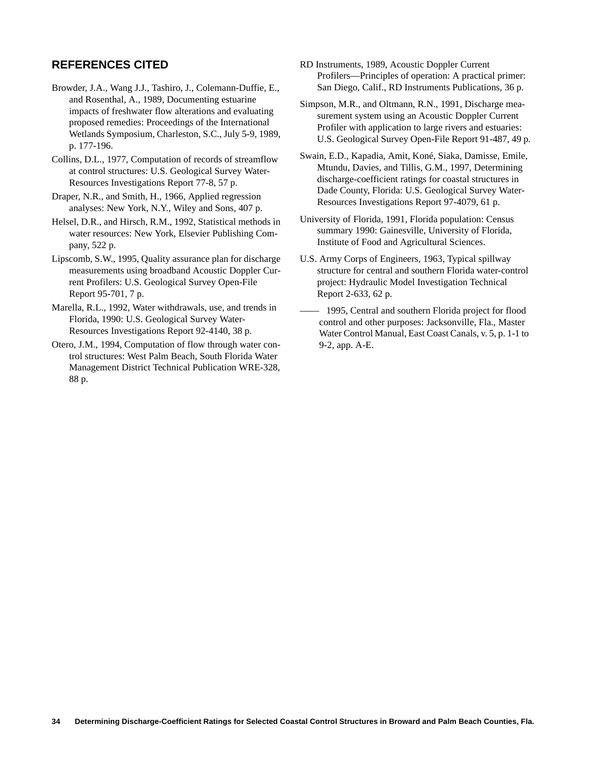## **REFERENCES CITED**

- Browder, J.A., Wang J.J., Tashiro, J., Colemann-Duffie, E., and Rosenthal, A., 1989, Documenting estuarine impacts of freshwater flow alterations and evaluating proposed remedies: Proceedings of the International Wetlands Symposium, Charleston, S.C., July 5-9, 1989, p. 177-196.
- Collins, D.L., 1977, Computation of records of streamflow at control structures: U.S. Geological Survey Water-Resources Investigations Report 77-8, 57 p.
- Draper, N.R., and Smith, H., 1966, Applied regression analyses: New York, N.Y., Wiley and Sons, 407 p.
- Helsel, D.R., and Hirsch, R.M., 1992, Statistical methods in water resources: New York, Elsevier Publishing Company, 522 p.
- Lipscomb, S.W., 1995, Quality assurance plan for discharge measurements using broadband Acoustic Doppler Current Profilers: U.S. Geological Survey Open-File Report 95-701, 7 p.
- Marella, R.L., 1992, Water withdrawals, use, and trends in Florida, 1990: U.S. Geological Survey Water-Resources Investigations Report 92-4140, 38 p.
- Otero, J.M., 1994, Computation of flow through water control structures: West Palm Beach, South Florida Water Management District Technical Publication WRE-328, 88 p.
- RD Instruments, 1989, Acoustic Doppler Current Profilers—Principles of operation: A practical primer: San Diego, Calif., RD Instruments Publications, 36 p.
- Simpson, M.R., and Oltmann, R.N., 1991, Discharge measurement system using an Acoustic Doppler Current Profiler with application to large rivers and estuaries: U.S. Geological Survey Open-File Report 91-487, 49 p.
- Swain, E.D., Kapadia, Amit, Koné, Siaka, Damisse, Emile, Mtundu, Davies, and Tillis, G.M., 1997, Determining discharge-coefficient ratings for coastal structures in Dade County, Florida: U.S. Geological Survey Water-Resources Investigations Report 97-4079, 61 p.
- University of Florida, 1991, Florida population: Census summary 1990: Gainesville, University of Florida, Institute of Food and Agricultural Sciences.
- U.S. Army Corps of Engineers, 1963, Typical spillway structure for central and southern Florida water-control project: Hydraulic Model Investigation Technical Report 2-633, 62 p.
- –––– 1995, Central and southern Florida project for flood control and other purposes: Jacksonville, Fla., Master Water Control Manual, East Coast Canals, v. 5, p. 1-1 to 9-2, app. A-E.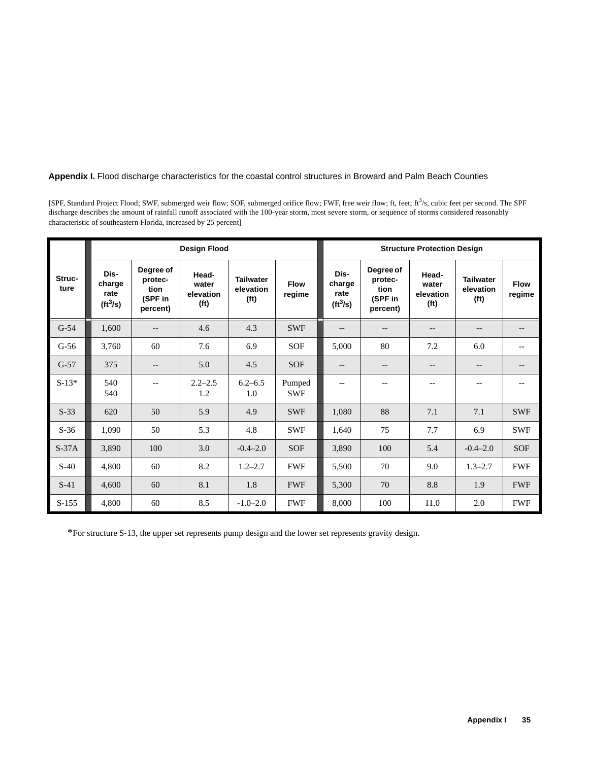## **Appendix I.** Flood discharge characteristics for the coastal control structures in Broward and Palm Beach Counties

[SPF, Standard Project Flood; SWF, submerged weir flow; SOF, submerged orifice flow; FWF, free weir flow; ft, feet; ft3/s, cubic feet per second. The SPF discharge describes the amount of rainfall runoff associated with the 100-year storm, most severe storm, or sequence of storms considered reasonably characteristic of southeastern Florida, increased by 25 percent]

| <b>Design Flood</b> |                                                    |                                                     |                                                  |                                                    |                       | <b>Structure Protection Design</b>             |                                                     |                                                  |                                                    |                       |
|---------------------|----------------------------------------------------|-----------------------------------------------------|--------------------------------------------------|----------------------------------------------------|-----------------------|------------------------------------------------|-----------------------------------------------------|--------------------------------------------------|----------------------------------------------------|-----------------------|
| Struc-<br>ture      | Dis-<br>charge<br>rate<br>$(\text{ft}^3/\text{s})$ | Degree of<br>protec-<br>tion<br>(SPF in<br>percent) | Head-<br>water<br>elevation<br>(f <sup>t</sup> ) | <b>Tailwater</b><br>elevation<br>(f <sup>t</sup> ) | <b>Flow</b><br>regime | Dis-<br>charge<br>rate<br>(tf <sup>3</sup> /s) | Degree of<br>protec-<br>tion<br>(SPF in<br>percent) | Head-<br>water<br>elevation<br>(f <sup>t</sup> ) | <b>Tailwater</b><br>elevation<br>(f <sup>t</sup> ) | <b>Flow</b><br>regime |
| $G-54$              | 1,600                                              | $--$                                                | 4.6                                              | 4.3                                                | <b>SWF</b>            | $-$                                            | $\qquad \qquad -$                                   | $\qquad \qquad -$                                | --                                                 | --                    |
| $G-56$              | 3,760                                              | 60                                                  | 7.6                                              | 6.9                                                | <b>SOF</b>            | 5,000                                          | 80                                                  | 7.2                                              | 6.0                                                | $- -$                 |
| $G-57$              | 375                                                | $-\,-$                                              | 5.0                                              | 4.5                                                | <b>SOF</b>            | $-$                                            | $\overline{\phantom{a}}$                            | $-$                                              | $- -$                                              |                       |
| $S-13*$             | 540<br>540                                         | $\qquad \qquad -$                                   | $2.2 - 2.5$<br>1.2                               | $6.2 - 6.5$<br>1.0                                 | Pumped<br><b>SWF</b>  | $\overline{\phantom{a}}$                       | $-$                                                 | $- -$                                            | $- -$                                              | $- -$                 |
| $S-33$              | 620                                                | 50                                                  | 5.9                                              | 4.9                                                | <b>SWF</b>            | 1,080                                          | 88                                                  | 7.1                                              | 7.1                                                | <b>SWF</b>            |
| $S-36$              | 1,090                                              | 50                                                  | 5.3                                              | 4.8                                                | <b>SWF</b>            | 1,640                                          | 75                                                  | 7.7                                              | 6.9                                                | <b>SWF</b>            |
| $S-37A$             | 3,890                                              | 100                                                 | 3.0                                              | $-0.4-2.0$                                         | <b>SOF</b>            | 3,890                                          | 100                                                 | 5.4                                              | $-0.4 - 2.0$                                       | SOF                   |
| $S-40$              | 4,800                                              | 60                                                  | 8.2                                              | $1.2 - 2.7$                                        | <b>FWF</b>            | 5,500                                          | 70                                                  | 9.0                                              | $1.3 - 2.7$                                        | <b>FWF</b>            |
| $S-41$              | 4,600                                              | 60                                                  | 8.1                                              | 1.8                                                | <b>FWF</b>            | 5,300                                          | 70                                                  | 8.8                                              | 1.9                                                | <b>FWF</b>            |
| $S-155$             | 4,800                                              | 60                                                  | 8.5                                              | $-1.0 - 2.0$                                       | <b>FWF</b>            | 8,000                                          | 100                                                 | 11.0                                             | 2.0                                                | <b>FWF</b>            |

\*For structure S-13, the upper set represents pump design and the lower set represents gravity design.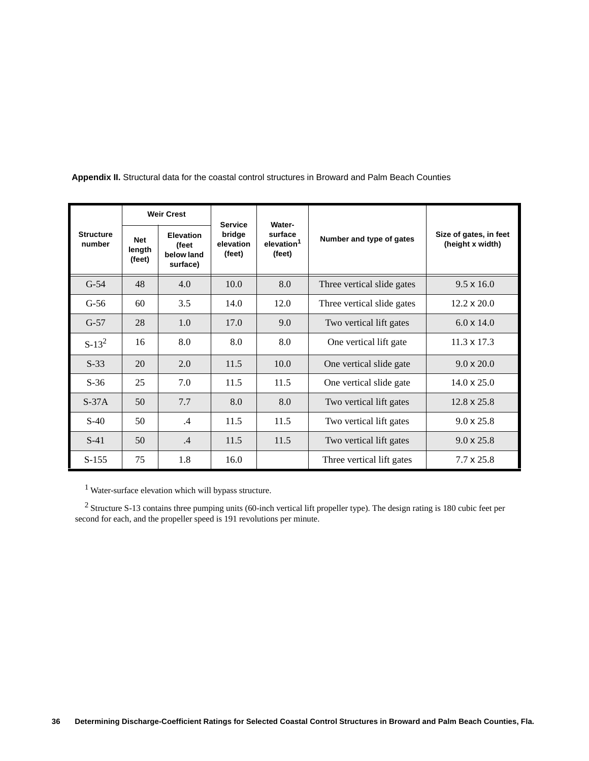|                            | <b>Weir Crest</b>              |                                                     | <b>Service</b><br><b>Water-</b> |                                             |                            |                                            |
|----------------------------|--------------------------------|-----------------------------------------------------|---------------------------------|---------------------------------------------|----------------------------|--------------------------------------------|
| <b>Structure</b><br>number | <b>Net</b><br>length<br>(feet) | <b>Elevation</b><br>(feet<br>below land<br>surface) | bridge<br>elevation<br>(feet)   | surface<br>elevation <sup>1</sup><br>(feet) | Number and type of gates   | Size of gates, in feet<br>(height x width) |
| $G-54$                     | 48                             | 4.0                                                 | 10.0                            | 8.0                                         | Three vertical slide gates | $9.5 \times 16.0$                          |
| $G-56$                     | 60                             | 3.5                                                 | 14.0                            | 12.0                                        | Three vertical slide gates | $12.2 \times 20.0$                         |
| $G-57$                     | 28                             | 1.0                                                 | 17.0                            | 9.0                                         | Two vertical lift gates    | $6.0 \times 14.0$                          |
| $S-13^2$                   | 16                             | 8.0                                                 | 8.0                             | 8.0                                         | One vertical lift gate     | $11.3 \times 17.3$                         |
| $S-33$                     | 20                             | 2.0                                                 | 11.5                            | 10.0                                        | One vertical slide gate    | $9.0 \times 20.0$                          |
| $S-36$                     | 25                             | 7.0                                                 | 11.5                            | 11.5                                        | One vertical slide gate    | $14.0 \times 25.0$                         |
| $S-37A$                    | 50                             | 7.7                                                 | 8.0                             | 8.0                                         | Two vertical lift gates    | $12.8 \times 25.8$                         |
| $S-40$                     | 50                             | $\mathcal{A}$                                       | 11.5                            | 11.5                                        | Two vertical lift gates    | $9.0 \times 25.8$                          |
| $S-41$                     | 50                             | .4                                                  | 11.5                            | 11.5                                        | Two vertical lift gates    | $9.0 \times 25.8$                          |
| $S-155$                    | 75                             | 1.8                                                 | 16.0                            |                                             | Three vertical lift gates  | $7.7 \times 25.8$                          |

 **Appendix II.** Structural data for the coastal control structures in Broward and Palm Beach Counties

1 Water-surface elevation which will bypass structure.

<sup>2</sup> Structure S-13 contains three pumping units (60-inch vertical lift propeller type). The design rating is 180 cubic feet per second for each, and the propeller speed is 191 revolutions per minute.